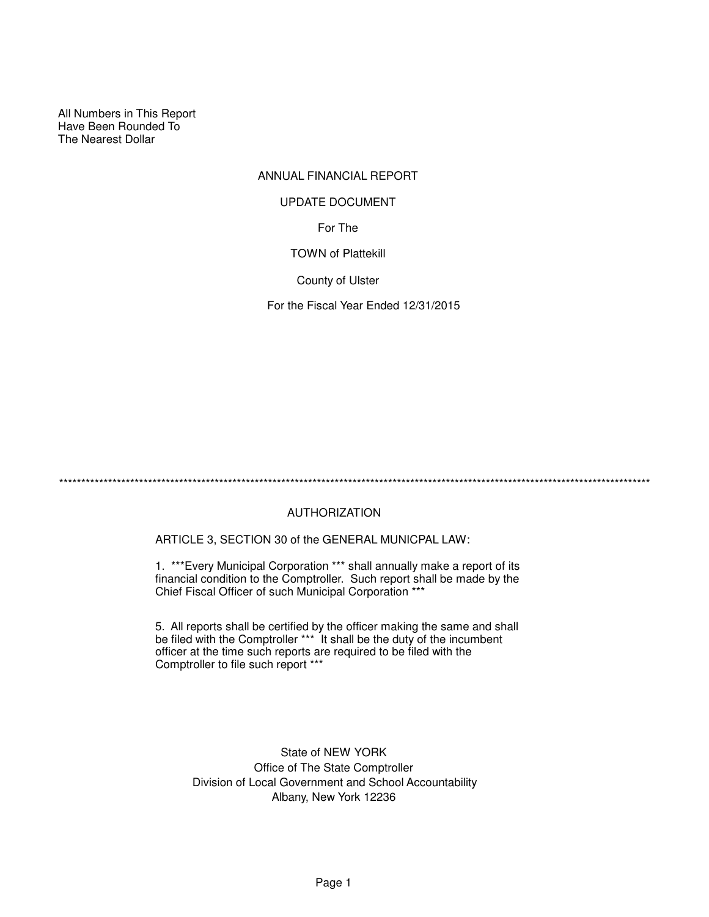All Numbers in This Report Have Been Rounded To The Nearest Dollar

# ANNUAL FINANCIAL REPORT

#### UPDATE DOCUMENT

For The

TOWN of Plattekill

County of Ulster

For the Fiscal Year Ended 12/31/2015

\*\*\*\*\*\*\*\*\*\*\*\*\*\*\*\*\*\*\*\*\*\*\*\*\*\*\*\*\*\*\*\*\*\*\*\*\*\*\*\*\*\*\*\*\*\*\*\*\*\*\*\*\*\*\*\*\*\*\*\*\*\*\*\*\*\*\*\*\*\*\*\*\*\*\*\*\*\*\*\*\*\*\*\*\*\*\*\*\*\*\*\*\*\*\*\*\*\*\*\*\*\*\*\*\*\*\*\*\*\*\*\*\*\*\*\*\*\*\*\*\*\*\*\*\*\*\*\*\*\*\*\*\*

# AUTHORIZATION

ARTICLE 3, SECTION 30 of the GENERAL MUNICPAL LAW:

1. \*\*\*Every Municipal Corporation \*\*\* shall annually make a report of its financial condition to the Comptroller. Such report shall be made by the Chief Fiscal Officer of such Municipal Corporation \*\*\*

5. All reports shall be certified by the officer making the same and shall be filed with the Comptroller \*\*\* It shall be the duty of the incumbent officer at the time such reports are required to be filed with the Comptroller to file such report \*\*\*

> State of NEW YORK Office of The State Comptroller Division of Local Government and School Accountability Albany, New York 12236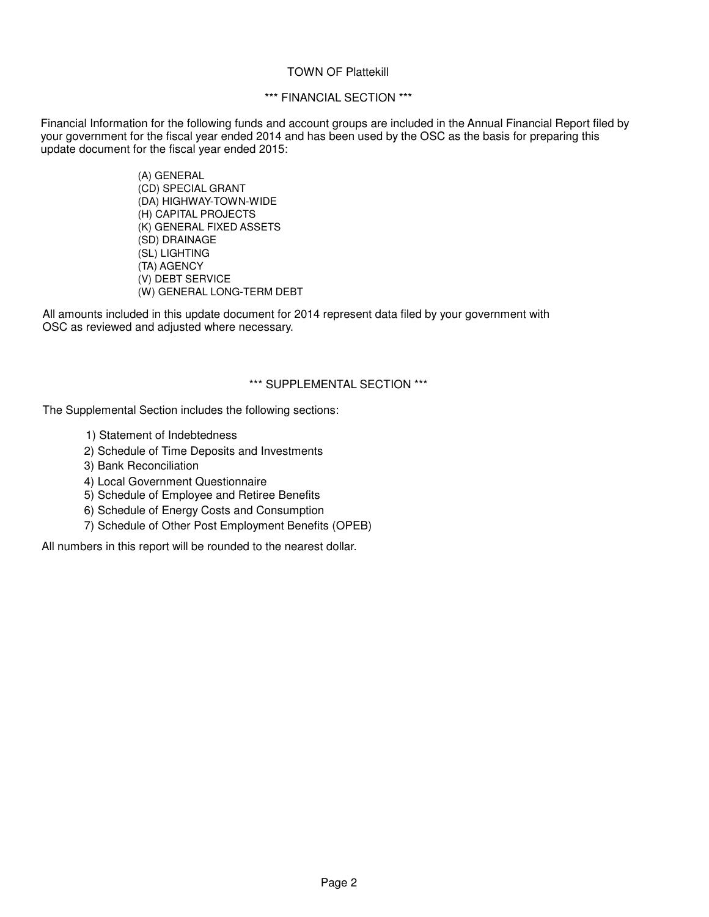#### TOWN OF Plattekill

# \*\*\* FINANCIAL SECTION \*\*\*

Financial Information for the following funds and account groups are included in the Annual Financial Report filed by your government for the fiscal year ended 2014 and has been used by the OSC as the basis for preparing this update document for the fiscal year ended 2015:

> (A) GENERAL (CD) SPECIAL GRANT (DA) HIGHWAY-TOWN-WIDE (H) CAPITAL PROJECTS (K) GENERAL FIXED ASSETS (SD) DRAINAGE (SL) LIGHTING (TA) AGENCY (V) DEBT SERVICE (W) GENERAL LONG-TERM DEBT

All amounts included in this update document for 2014 represent data filed by your government with OSC as reviewed and adjusted where necessary.

# \*\*\* SUPPLEMENTAL SECTION \*\*\*

The Supplemental Section includes the following sections:

- 1) Statement of Indebtedness
- 2) Schedule of Time Deposits and Investments
- 3) Bank Reconciliation
- 4) Local Government Questionnaire
- 5) Schedule of Employee and Retiree Benefits
- 6) Schedule of Energy Costs and Consumption
- 7) Schedule of Other Post Employment Benefits (OPEB)

All numbers in this report will be rounded to the nearest dollar.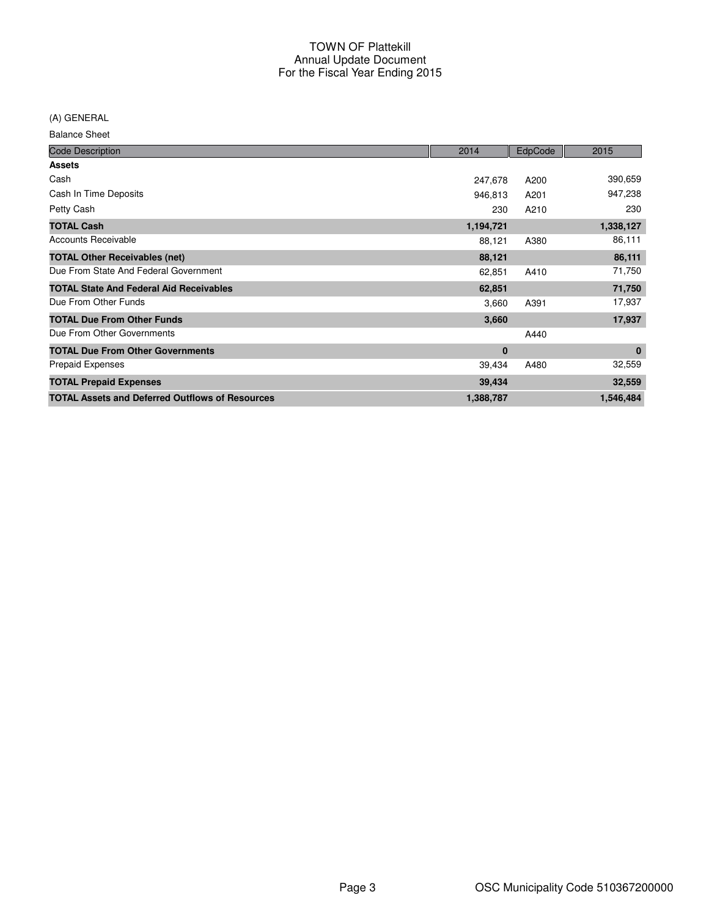(A) GENERAL

Balance Sheet

| <b>Code Description</b>                                | 2014      | EdpCode | 2015      |
|--------------------------------------------------------|-----------|---------|-----------|
| <b>Assets</b>                                          |           |         |           |
| Cash                                                   | 247,678   | A200    | 390,659   |
| Cash In Time Deposits                                  | 946,813   | A201    | 947,238   |
| Petty Cash                                             | 230       | A210    | 230       |
| <b>TOTAL Cash</b>                                      | 1,194,721 |         | 1,338,127 |
| <b>Accounts Receivable</b>                             | 88,121    | A380    | 86,111    |
| <b>TOTAL Other Receivables (net)</b>                   | 88,121    |         | 86,111    |
| Due From State And Federal Government                  | 62,851    | A410    | 71,750    |
| <b>TOTAL State And Federal Aid Receivables</b>         | 62,851    |         | 71,750    |
| Due From Other Funds                                   | 3,660     | A391    | 17,937    |
| <b>TOTAL Due From Other Funds</b>                      | 3,660     |         | 17,937    |
| Due From Other Governments                             |           | A440    |           |
| <b>TOTAL Due From Other Governments</b>                | 0         |         | $\bf{0}$  |
| <b>Prepaid Expenses</b>                                | 39,434    | A480    | 32,559    |
| <b>TOTAL Prepaid Expenses</b>                          | 39,434    |         | 32,559    |
| <b>TOTAL Assets and Deferred Outflows of Resources</b> | 1,388,787 |         | 1,546,484 |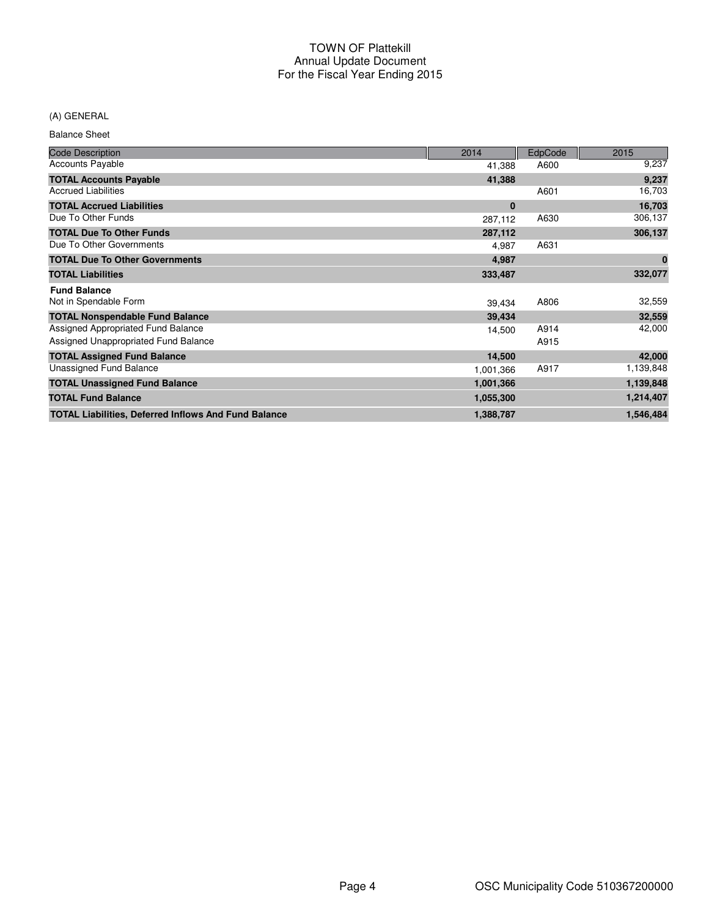## (A) GENERAL

Balance Sheet

| <b>Code Description</b>                                     | 2014      | EdpCode | 2015      |
|-------------------------------------------------------------|-----------|---------|-----------|
| <b>Accounts Payable</b>                                     | 41,388    | A600    | 9,237     |
| <b>TOTAL Accounts Payable</b>                               | 41,388    |         | 9,237     |
| <b>Accrued Liabilities</b>                                  |           | A601    | 16,703    |
| <b>TOTAL Accrued Liabilities</b>                            | $\bf{0}$  |         | 16,703    |
| Due To Other Funds                                          | 287,112   | A630    | 306,137   |
| <b>TOTAL Due To Other Funds</b>                             | 287,112   |         | 306,137   |
| Due To Other Governments                                    | 4,987     | A631    |           |
| <b>TOTAL Due To Other Governments</b>                       | 4,987     |         | $\bf{0}$  |
| <b>TOTAL Liabilities</b>                                    | 333,487   |         | 332,077   |
| <b>Fund Balance</b>                                         |           |         |           |
| Not in Spendable Form                                       | 39,434    | A806    | 32,559    |
| <b>TOTAL Nonspendable Fund Balance</b>                      | 39,434    |         | 32,559    |
| Assigned Appropriated Fund Balance                          | 14,500    | A914    | 42,000    |
| Assigned Unappropriated Fund Balance                        |           | A915    |           |
| <b>TOTAL Assigned Fund Balance</b>                          | 14,500    |         | 42,000    |
| Unassigned Fund Balance                                     | 1,001,366 | A917    | 1,139,848 |
| <b>TOTAL Unassigned Fund Balance</b>                        | 1,001,366 |         | 1,139,848 |
| <b>TOTAL Fund Balance</b>                                   | 1,055,300 |         | 1,214,407 |
| <b>TOTAL Liabilities, Deferred Inflows And Fund Balance</b> | 1,388,787 |         | 1,546,484 |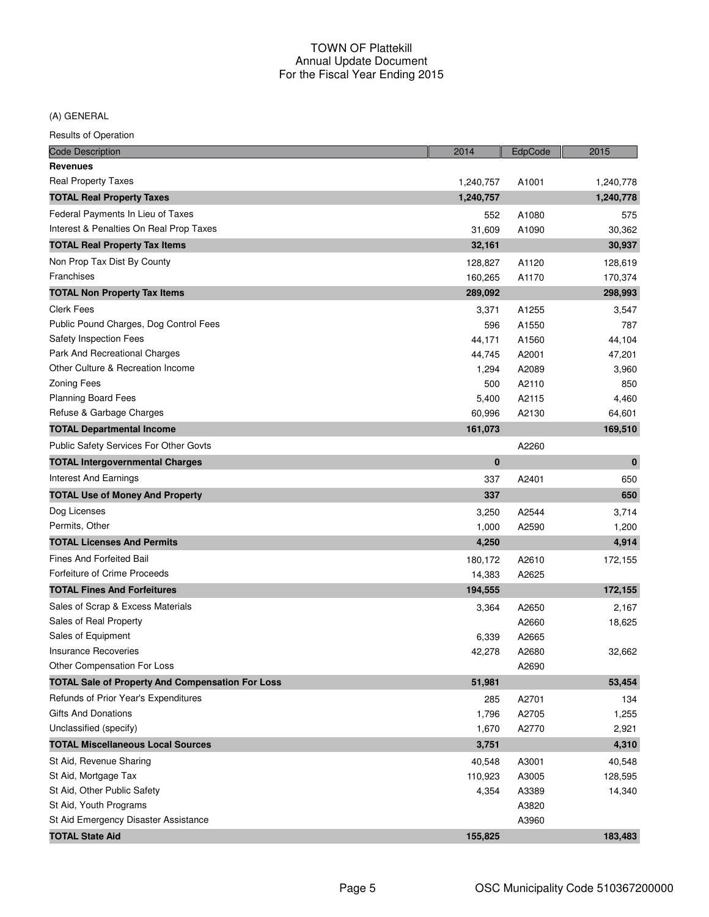(A) GENERAL

| <b>Code Description</b>                                 | 2014      | EdpCode | 2015      |
|---------------------------------------------------------|-----------|---------|-----------|
| <b>Revenues</b>                                         |           |         |           |
| <b>Real Property Taxes</b>                              | 1,240,757 | A1001   | 1,240,778 |
| <b>TOTAL Real Property Taxes</b>                        | 1,240,757 |         | 1,240,778 |
| Federal Payments In Lieu of Taxes                       | 552       | A1080   | 575       |
| Interest & Penalties On Real Prop Taxes                 | 31,609    | A1090   | 30,362    |
| <b>TOTAL Real Property Tax Items</b>                    | 32,161    |         | 30,937    |
| Non Prop Tax Dist By County                             | 128,827   | A1120   | 128,619   |
| Franchises                                              | 160,265   | A1170   | 170,374   |
| <b>TOTAL Non Property Tax Items</b>                     | 289,092   |         | 298,993   |
| Clerk Fees                                              | 3,371     | A1255   | 3,547     |
| Public Pound Charges, Dog Control Fees                  | 596       | A1550   | 787       |
| Safety Inspection Fees                                  | 44,171    | A1560   | 44,104    |
| Park And Recreational Charges                           | 44,745    | A2001   | 47,201    |
| Other Culture & Recreation Income                       | 1,294     | A2089   | 3,960     |
| <b>Zoning Fees</b>                                      | 500       | A2110   | 850       |
| <b>Planning Board Fees</b>                              | 5,400     | A2115   | 4,460     |
| Refuse & Garbage Charges                                | 60,996    | A2130   | 64,601    |
| <b>TOTAL Departmental Income</b>                        | 161,073   |         | 169,510   |
| Public Safety Services For Other Govts                  |           | A2260   |           |
| <b>TOTAL Intergovernmental Charges</b>                  | $\bf{0}$  |         | $\bf{0}$  |
| <b>Interest And Earnings</b>                            | 337       | A2401   | 650       |
| <b>TOTAL Use of Money And Property</b>                  | 337       |         | 650       |
| Dog Licenses                                            | 3,250     | A2544   | 3,714     |
| Permits, Other                                          | 1,000     | A2590   | 1,200     |
| <b>TOTAL Licenses And Permits</b>                       | 4,250     |         | 4,914     |
| <b>Fines And Forfeited Bail</b>                         | 180,172   | A2610   | 172,155   |
| Forfeiture of Crime Proceeds                            | 14,383    | A2625   |           |
| <b>TOTAL Fines And Forfeitures</b>                      | 194,555   |         | 172,155   |
| Sales of Scrap & Excess Materials                       | 3,364     | A2650   | 2,167     |
| Sales of Real Property                                  |           | A2660   | 18,625    |
| Sales of Equipment                                      | 6,339     | A2665   |           |
| <b>Insurance Recoveries</b>                             | 42,278    | A2680   | 32,662    |
| Other Compensation For Loss                             |           | A2690   |           |
| <b>TOTAL Sale of Property And Compensation For Loss</b> | 51,981    |         | 53,454    |
| Refunds of Prior Year's Expenditures                    | 285       | A2701   | 134       |
| <b>Gifts And Donations</b>                              | 1,796     | A2705   | 1,255     |
| Unclassified (specify)                                  | 1,670     | A2770   | 2,921     |
| <b>TOTAL Miscellaneous Local Sources</b>                | 3,751     |         | 4,310     |
| St Aid, Revenue Sharing                                 | 40,548    | A3001   | 40,548    |
| St Aid, Mortgage Tax                                    | 110,923   | A3005   | 128,595   |
| St Aid, Other Public Safety                             | 4,354     | A3389   | 14,340    |
| St Aid, Youth Programs                                  |           | A3820   |           |
| St Aid Emergency Disaster Assistance                    |           | A3960   |           |
| <b>TOTAL State Aid</b>                                  | 155,825   |         | 183,483   |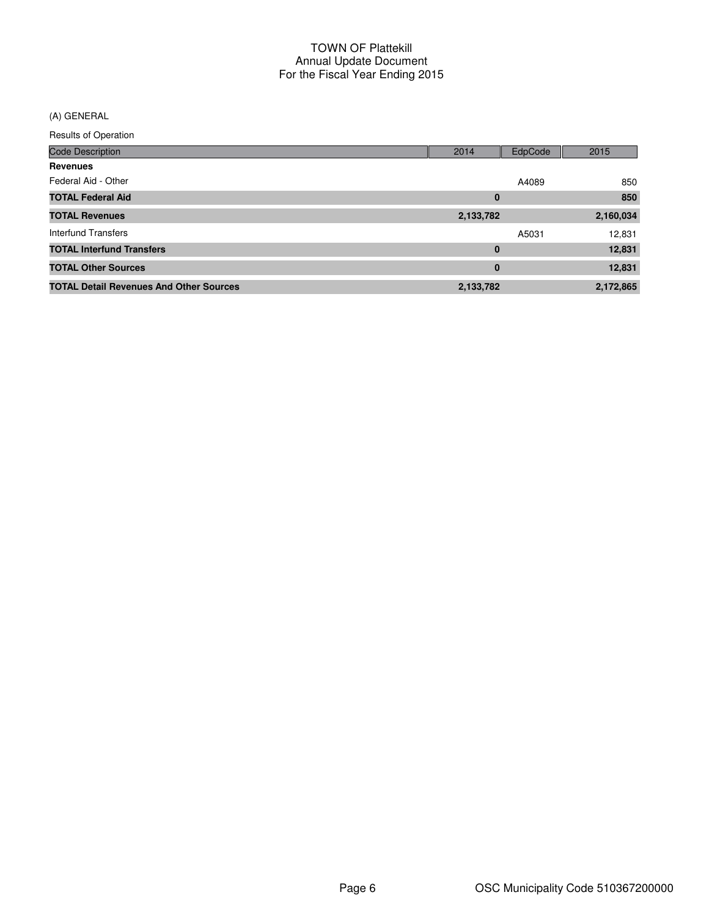(A) GENERAL

| Results of Operation                           |           |         |           |
|------------------------------------------------|-----------|---------|-----------|
| <b>Code Description</b>                        | 2014      | EdpCode | 2015      |
| <b>Revenues</b>                                |           |         |           |
| Federal Aid - Other                            |           | A4089   | 850       |
| <b>TOTAL Federal Aid</b>                       | 0         |         | 850       |
| <b>TOTAL Revenues</b>                          | 2,133,782 |         | 2,160,034 |
| Interfund Transfers                            |           | A5031   | 12,831    |
| <b>TOTAL Interfund Transfers</b>               | $\bf{0}$  |         | 12,831    |
| <b>TOTAL Other Sources</b>                     | $\bf{0}$  |         | 12,831    |
| <b>TOTAL Detail Revenues And Other Sources</b> | 2,133,782 |         | 2,172,865 |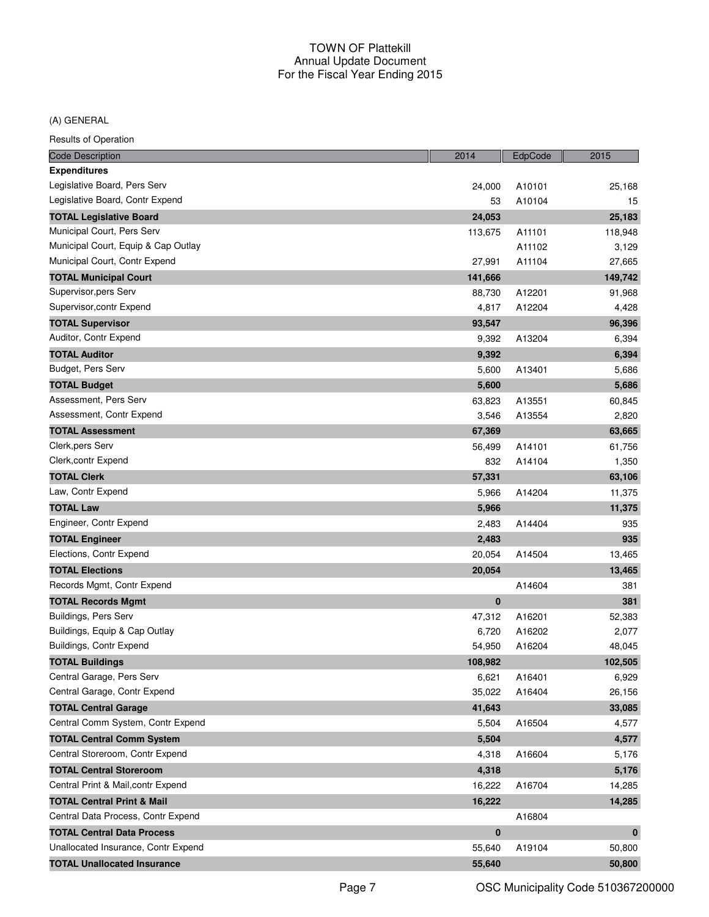#### (A) GENERAL

| <b>Code Description</b>               | 2014     | EdpCode | 2015         |
|---------------------------------------|----------|---------|--------------|
| <b>Expenditures</b>                   |          |         |              |
| Legislative Board, Pers Serv          | 24,000   | A10101  | 25,168       |
| Legislative Board, Contr Expend       | 53       | A10104  | 15           |
| <b>TOTAL Legislative Board</b>        | 24,053   |         | 25,183       |
| Municipal Court, Pers Serv            | 113,675  | A11101  | 118,948      |
| Municipal Court, Equip & Cap Outlay   |          | A11102  | 3,129        |
| Municipal Court, Contr Expend         | 27,991   | A11104  | 27,665       |
| <b>TOTAL Municipal Court</b>          | 141,666  |         | 149,742      |
| Supervisor, pers Serv                 | 88,730   | A12201  | 91,968       |
| Supervisor, contr Expend              | 4,817    | A12204  | 4,428        |
| <b>TOTAL Supervisor</b>               | 93,547   |         | 96,396       |
| Auditor, Contr Expend                 | 9,392    | A13204  | 6,394        |
| <b>TOTAL Auditor</b>                  | 9,392    |         | 6,394        |
| Budget, Pers Serv                     | 5,600    | A13401  | 5,686        |
| <b>TOTAL Budget</b>                   | 5,600    |         | 5,686        |
| Assessment, Pers Serv                 | 63,823   | A13551  | 60,845       |
| Assessment, Contr Expend              | 3,546    | A13554  | 2,820        |
| <b>TOTAL Assessment</b>               | 67,369   |         | 63,665       |
| Clerk, pers Serv                      | 56,499   | A14101  | 61,756       |
| Clerk, contr Expend                   | 832      | A14104  | 1,350        |
| <b>TOTAL Clerk</b>                    | 57,331   |         | 63,106       |
| Law, Contr Expend                     | 5,966    | A14204  | 11,375       |
| <b>TOTAL Law</b>                      | 5,966    |         | 11,375       |
| Engineer, Contr Expend                | 2,483    | A14404  | 935          |
| <b>TOTAL Engineer</b>                 | 2,483    |         | 935          |
| Elections, Contr Expend               | 20,054   | A14504  | 13,465       |
| <b>TOTAL Elections</b>                | 20,054   |         | 13,465       |
| Records Mgmt, Contr Expend            |          | A14604  | 381          |
| <b>TOTAL Records Mgmt</b>             | 0        |         | 381          |
| Buildings, Pers Serv                  | 47,312   | A16201  | 52,383       |
| Buildings, Equip & Cap Outlay         | 6,720    | A16202  | 2,077        |
| Buildings, Contr Expend               | 54,950   | A16204  | 48,045       |
| <b>TOTAL Buildings</b>                | 108,982  |         | 102,505      |
| Central Garage, Pers Serv             | 6,621    | A16401  | 6,929        |
| Central Garage, Contr Expend          | 35,022   | A16404  | 26,156       |
| <b>TOTAL Central Garage</b>           | 41,643   |         | 33,085       |
| Central Comm System, Contr Expend     | 5,504    | A16504  | 4,577        |
| <b>TOTAL Central Comm System</b>      | 5,504    |         | 4,577        |
| Central Storeroom, Contr Expend       | 4,318    | A16604  | 5,176        |
| <b>TOTAL Central Storeroom</b>        | 4,318    |         | 5,176        |
| Central Print & Mail, contr Expend    | 16,222   | A16704  | 14,285       |
| <b>TOTAL Central Print &amp; Mail</b> | 16,222   |         | 14,285       |
| Central Data Process, Contr Expend    |          | A16804  |              |
| <b>TOTAL Central Data Process</b>     | $\bf{0}$ |         | $\mathbf{0}$ |
| Unallocated Insurance, Contr Expend   | 55,640   | A19104  | 50,800       |
| <b>TOTAL Unallocated Insurance</b>    | 55,640   |         | 50,800       |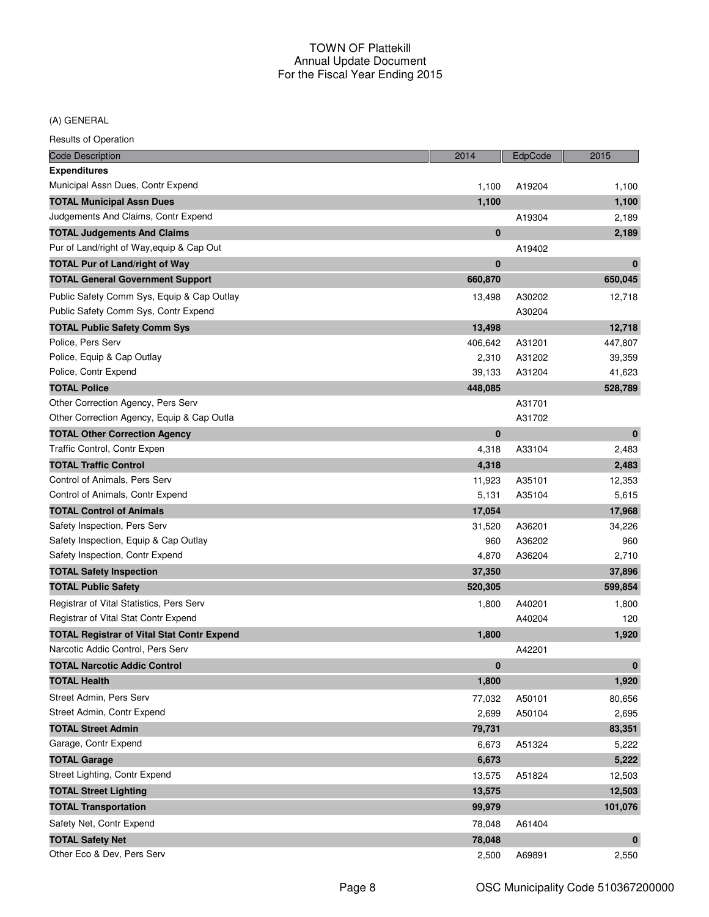## (A) GENERAL

| <b>Code Description</b>                           | 2014     | EdpCode | 2015         |
|---------------------------------------------------|----------|---------|--------------|
| <b>Expenditures</b>                               |          |         |              |
| Municipal Assn Dues, Contr Expend                 | 1,100    | A19204  | 1,100        |
| <b>TOTAL Municipal Assn Dues</b>                  | 1,100    |         | 1,100        |
| Judgements And Claims, Contr Expend               |          | A19304  | 2,189        |
| <b>TOTAL Judgements And Claims</b>                | $\bf{0}$ |         | 2,189        |
| Pur of Land/right of Way, equip & Cap Out         |          | A19402  |              |
| <b>TOTAL Pur of Land/right of Way</b>             | $\bf{0}$ |         | $\mathbf{0}$ |
| <b>TOTAL General Government Support</b>           | 660,870  |         | 650,045      |
| Public Safety Comm Sys, Equip & Cap Outlay        | 13,498   | A30202  | 12,718       |
| Public Safety Comm Sys, Contr Expend              |          | A30204  |              |
| <b>TOTAL Public Safety Comm Sys</b>               | 13,498   |         | 12,718       |
| Police, Pers Serv                                 | 406,642  | A31201  | 447,807      |
| Police, Equip & Cap Outlay                        | 2,310    | A31202  | 39,359       |
| Police, Contr Expend                              | 39,133   | A31204  | 41,623       |
| <b>TOTAL Police</b>                               | 448,085  |         | 528,789      |
| Other Correction Agency, Pers Serv                |          | A31701  |              |
| Other Correction Agency, Equip & Cap Outla        |          | A31702  |              |
| <b>TOTAL Other Correction Agency</b>              | 0        |         | $\mathbf{0}$ |
| Traffic Control, Contr Expen                      | 4,318    | A33104  | 2,483        |
| <b>TOTAL Traffic Control</b>                      | 4,318    |         | 2,483        |
| Control of Animals, Pers Serv                     | 11,923   | A35101  | 12,353       |
| Control of Animals, Contr Expend                  | 5,131    | A35104  | 5,615        |
| <b>TOTAL Control of Animals</b>                   | 17,054   |         | 17,968       |
| Safety Inspection, Pers Serv                      | 31,520   | A36201  | 34,226       |
| Safety Inspection, Equip & Cap Outlay             | 960      | A36202  | 960          |
| Safety Inspection, Contr Expend                   | 4,870    | A36204  | 2,710        |
| <b>TOTAL Safety Inspection</b>                    | 37,350   |         | 37,896       |
| <b>TOTAL Public Safety</b>                        | 520,305  |         | 599,854      |
| Registrar of Vital Statistics, Pers Serv          | 1,800    | A40201  | 1,800        |
| Registrar of Vital Stat Contr Expend              |          | A40204  | 120          |
| <b>TOTAL Registrar of Vital Stat Contr Expend</b> | 1,800    |         | 1,920        |
| Narcotic Addic Control, Pers Serv                 |          | A42201  |              |
| <b>TOTAL Narcotic Addic Control</b>               | 0        |         | $\mathbf 0$  |
| <b>TOTAL Health</b>                               | 1,800    |         | 1,920        |
| Street Admin, Pers Serv                           | 77,032   | A50101  | 80,656       |
| Street Admin, Contr Expend                        | 2,699    | A50104  | 2,695        |
| <b>TOTAL Street Admin</b>                         | 79,731   |         | 83,351       |
| Garage, Contr Expend                              | 6,673    | A51324  | 5,222        |
| <b>TOTAL Garage</b>                               | 6,673    |         | 5,222        |
| Street Lighting, Contr Expend                     | 13,575   | A51824  | 12,503       |
| <b>TOTAL Street Lighting</b>                      | 13,575   |         | 12,503       |
| <b>TOTAL Transportation</b>                       | 99,979   |         | 101,076      |
| Safety Net, Contr Expend                          | 78,048   | A61404  |              |
| <b>TOTAL Safety Net</b>                           | 78,048   |         | $\bf{0}$     |
| Other Eco & Dev, Pers Serv                        | 2,500    | A69891  | 2,550        |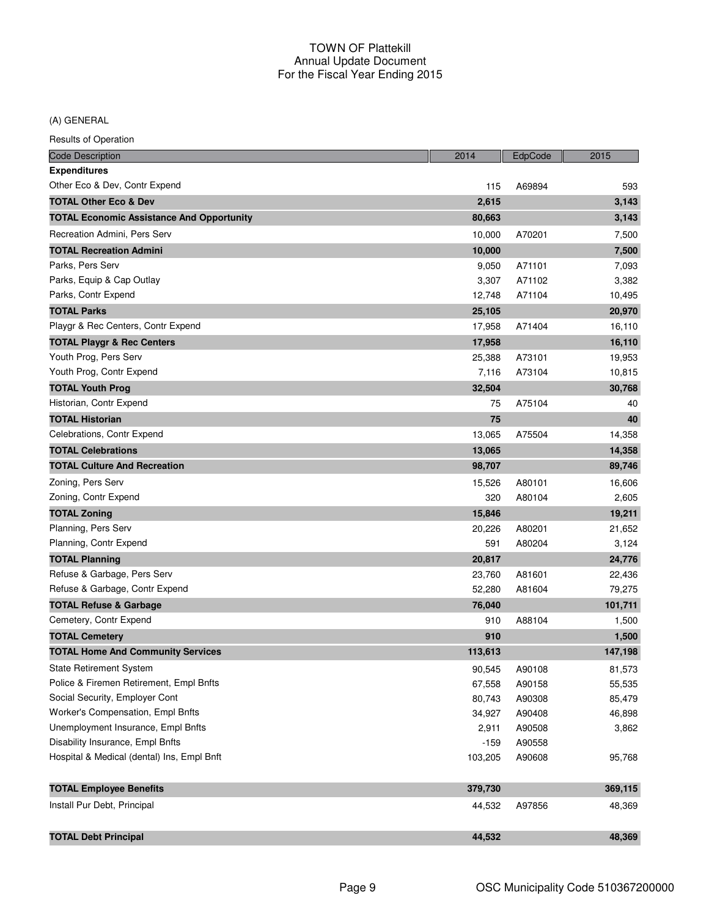(A) GENERAL

| <b>Code Description</b>                          | 2014    | EdpCode | 2015    |
|--------------------------------------------------|---------|---------|---------|
| <b>Expenditures</b>                              |         |         |         |
| Other Eco & Dev, Contr Expend                    | 115     | A69894  | 593     |
| <b>TOTAL Other Eco &amp; Dev</b>                 | 2,615   |         | 3,143   |
| <b>TOTAL Economic Assistance And Opportunity</b> | 80,663  |         | 3,143   |
| Recreation Admini, Pers Serv                     | 10,000  | A70201  | 7,500   |
| <b>TOTAL Recreation Admini</b>                   | 10,000  |         | 7,500   |
| Parks, Pers Serv                                 | 9,050   | A71101  | 7,093   |
| Parks, Equip & Cap Outlay                        | 3,307   | A71102  | 3,382   |
| Parks, Contr Expend                              | 12,748  | A71104  | 10,495  |
| <b>TOTAL Parks</b>                               | 25,105  |         | 20,970  |
| Playgr & Rec Centers, Contr Expend               | 17,958  | A71404  | 16,110  |
| <b>TOTAL Playgr &amp; Rec Centers</b>            | 17,958  |         | 16,110  |
| Youth Prog, Pers Serv                            | 25,388  | A73101  | 19,953  |
| Youth Prog, Contr Expend                         | 7,116   | A73104  | 10,815  |
| <b>TOTAL Youth Prog</b>                          | 32,504  |         | 30,768  |
| Historian, Contr Expend                          | 75      | A75104  | 40      |
| <b>TOTAL Historian</b>                           | 75      |         | 40      |
| Celebrations, Contr Expend                       | 13,065  | A75504  | 14,358  |
| <b>TOTAL Celebrations</b>                        | 13,065  |         | 14,358  |
| <b>TOTAL Culture And Recreation</b>              | 98,707  |         | 89,746  |
| Zoning, Pers Serv                                | 15,526  | A80101  | 16,606  |
| Zoning, Contr Expend                             | 320     | A80104  | 2,605   |
| <b>TOTAL Zoning</b>                              | 15,846  |         | 19,211  |
| Planning, Pers Serv                              | 20,226  | A80201  | 21,652  |
| Planning, Contr Expend                           | 591     | A80204  | 3,124   |
| <b>TOTAL Planning</b>                            | 20,817  |         | 24,776  |
| Refuse & Garbage, Pers Serv                      | 23,760  | A81601  | 22,436  |
| Refuse & Garbage, Contr Expend                   | 52,280  | A81604  | 79,275  |
| <b>TOTAL Refuse &amp; Garbage</b>                | 76,040  |         | 101,711 |
| Cemetery, Contr Expend                           | 910     | A88104  | 1,500   |
| <b>TOTAL Cemetery</b>                            | 910     |         | 1,500   |
| <b>TOTAL Home And Community Services</b>         | 113,613 |         | 147,198 |
| State Retirement System                          | 90,545  | A90108  | 81,573  |
| Police & Firemen Retirement, Empl Bnfts          | 67,558  | A90158  | 55,535  |
| Social Security, Employer Cont                   | 80,743  | A90308  | 85,479  |
| Worker's Compensation, Empl Bnfts                | 34,927  | A90408  | 46,898  |
| Unemployment Insurance, Empl Bnfts               | 2,911   | A90508  | 3,862   |
| Disability Insurance, Empl Bnfts                 | $-159$  | A90558  |         |
| Hospital & Medical (dental) Ins, Empl Bnft       | 103,205 | A90608  | 95,768  |
| <b>TOTAL Employee Benefits</b>                   | 379,730 |         | 369,115 |
| Install Pur Debt, Principal                      | 44,532  | A97856  | 48,369  |
|                                                  |         |         |         |
| <b>TOTAL Debt Principal</b>                      | 44,532  |         | 48,369  |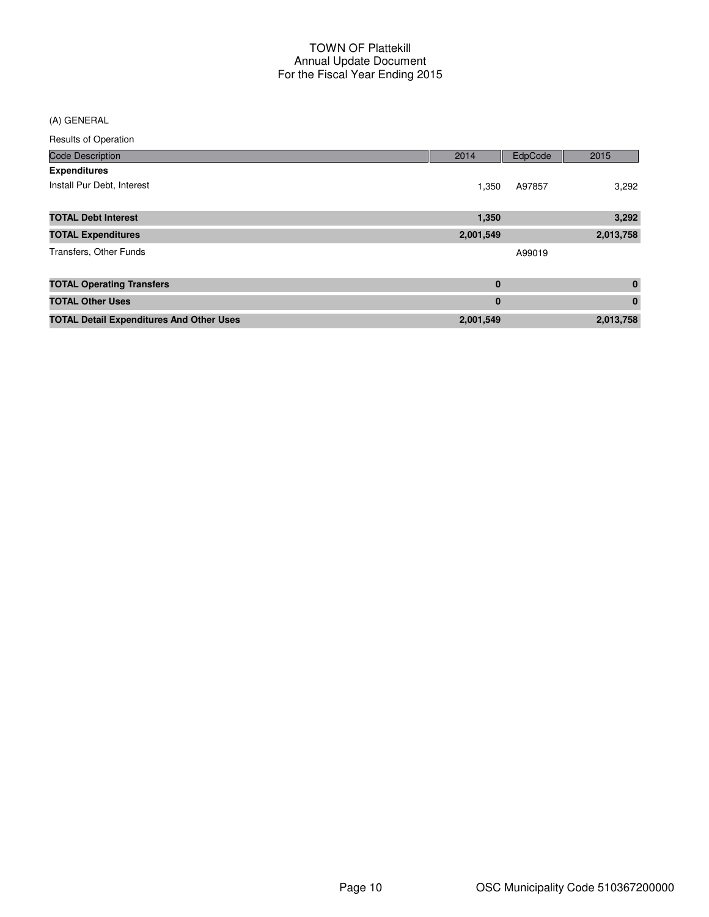#### (A) GENERAL

| <b>Code Description</b>                         | 2014      | EdpCode | 2015        |
|-------------------------------------------------|-----------|---------|-------------|
| <b>Expenditures</b>                             |           |         |             |
| Install Pur Debt, Interest                      | 1,350     | A97857  | 3,292       |
| <b>TOTAL Debt Interest</b>                      | 1,350     |         | 3,292       |
| <b>TOTAL Expenditures</b>                       | 2,001,549 |         | 2,013,758   |
| Transfers, Other Funds                          |           | A99019  |             |
| <b>TOTAL Operating Transfers</b>                | $\bf{0}$  |         | $\bf{0}$    |
| <b>TOTAL Other Uses</b>                         | $\bf{0}$  |         | $\mathbf 0$ |
| <b>TOTAL Detail Expenditures And Other Uses</b> | 2,001,549 |         | 2,013,758   |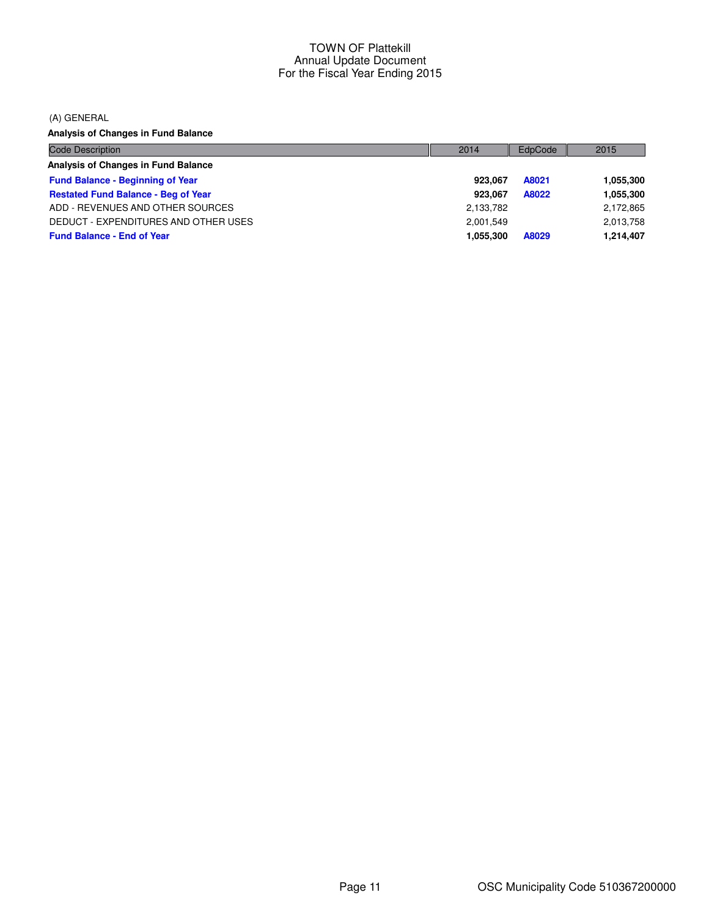(A) GENERAL

**Analysis of Changes in Fund Balance**

| Code Description                           | 2014      | EdpCode | 2015      |
|--------------------------------------------|-----------|---------|-----------|
| Analysis of Changes in Fund Balance        |           |         |           |
| <b>Fund Balance - Beginning of Year</b>    | 923.067   | A8021   | 1,055,300 |
| <b>Restated Fund Balance - Beg of Year</b> | 923.067   | A8022   | 1,055,300 |
| ADD - REVENUES AND OTHER SOURCES           | 2,133,782 |         | 2,172,865 |
| DEDUCT - EXPENDITURES AND OTHER USES       | 2.001.549 |         | 2,013,758 |
| <b>Fund Balance - End of Year</b>          | 1,055,300 | A8029   | 1,214,407 |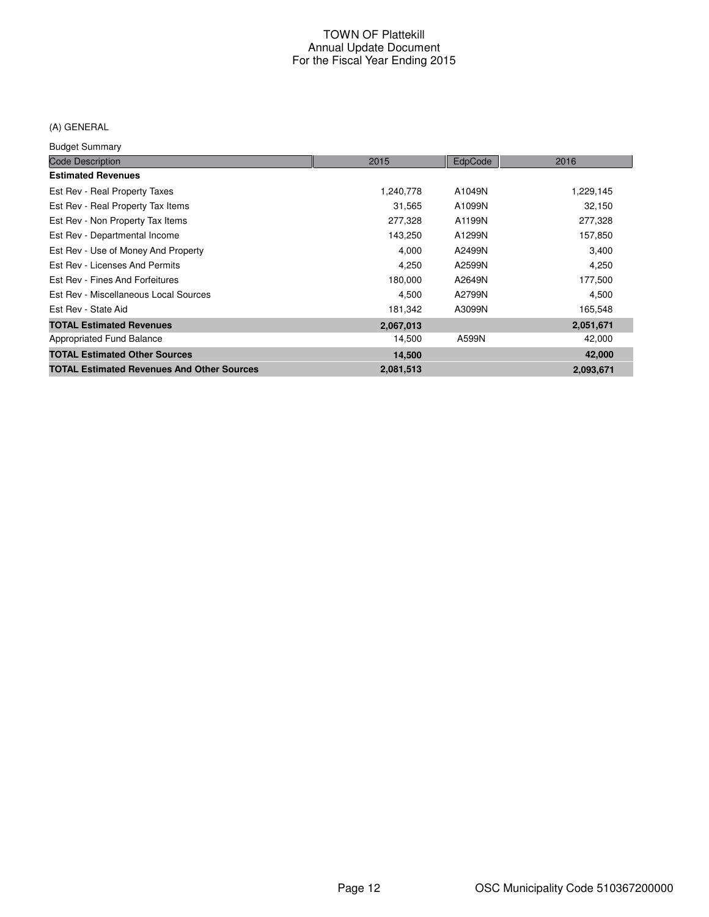## (A) GENERAL

Budget Summary

| baago, bannua j                                   |           |         |           |
|---------------------------------------------------|-----------|---------|-----------|
| <b>Code Description</b>                           | 2015      | EdpCode | 2016      |
| <b>Estimated Revenues</b>                         |           |         |           |
| Est Rev - Real Property Taxes                     | 1,240,778 | A1049N  | 1,229,145 |
| Est Rev - Real Property Tax Items                 | 31,565    | A1099N  | 32,150    |
| Est Rev - Non Property Tax Items                  | 277,328   | A1199N  | 277,328   |
| Est Rev - Departmental Income                     | 143,250   | A1299N  | 157,850   |
| Est Rev - Use of Money And Property               | 4,000     | A2499N  | 3,400     |
| Est Rev - Licenses And Permits                    | 4,250     | A2599N  | 4,250     |
| Est Rev - Fines And Forfeitures                   | 180,000   | A2649N  | 177,500   |
| Est Rev - Miscellaneous Local Sources             | 4,500     | A2799N  | 4,500     |
| Est Rev - State Aid                               | 181,342   | A3099N  | 165,548   |
| <b>TOTAL Estimated Revenues</b>                   | 2,067,013 |         | 2,051,671 |
| Appropriated Fund Balance                         | 14,500    | A599N   | 42,000    |
| <b>TOTAL Estimated Other Sources</b>              | 14,500    |         | 42,000    |
| <b>TOTAL Estimated Revenues And Other Sources</b> | 2,081,513 |         | 2,093,671 |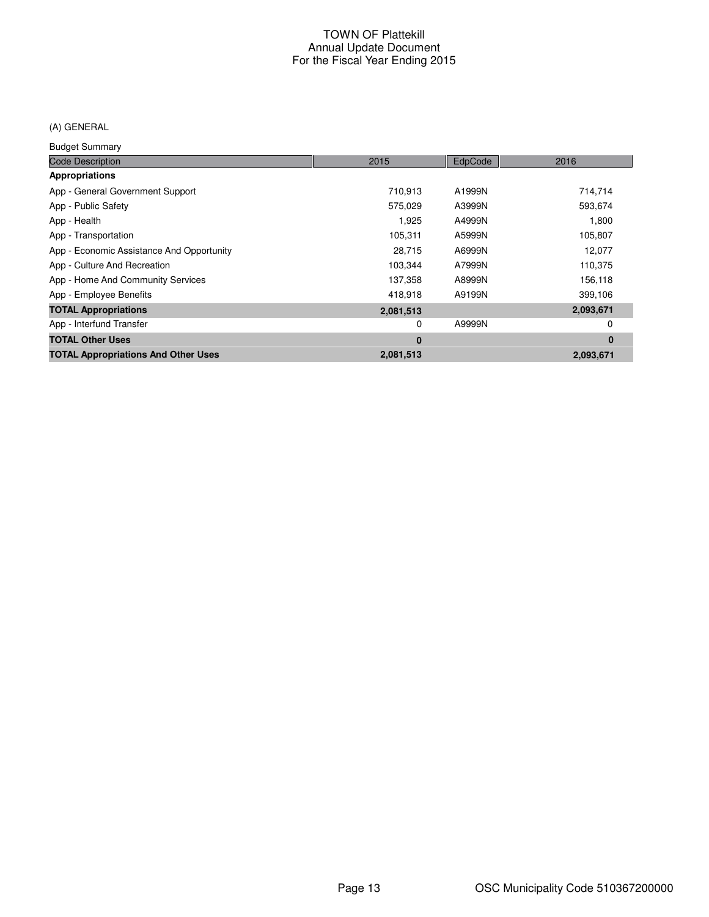## (A) GENERAL

Budget Summary

| <b>Code Description</b>                    | 2015      | EdpCode | 2016      |
|--------------------------------------------|-----------|---------|-----------|
| <b>Appropriations</b>                      |           |         |           |
| App - General Government Support           | 710.913   | A1999N  | 714,714   |
| App - Public Safety                        | 575,029   | A3999N  | 593,674   |
| App - Health                               | 1,925     | A4999N  | 1,800     |
| App - Transportation                       | 105,311   | A5999N  | 105,807   |
| App - Economic Assistance And Opportunity  | 28,715    | A6999N  | 12,077    |
| App - Culture And Recreation               | 103,344   | A7999N  | 110,375   |
| App - Home And Community Services          | 137,358   | A8999N  | 156,118   |
| App - Employee Benefits                    | 418.918   | A9199N  | 399,106   |
| <b>TOTAL Appropriations</b>                | 2,081,513 |         | 2,093,671 |
| App - Interfund Transfer                   | 0         | A9999N  | 0         |
| <b>TOTAL Other Uses</b>                    | $\bf{0}$  |         | $\bf{0}$  |
| <b>TOTAL Appropriations And Other Uses</b> | 2,081,513 |         | 2,093,671 |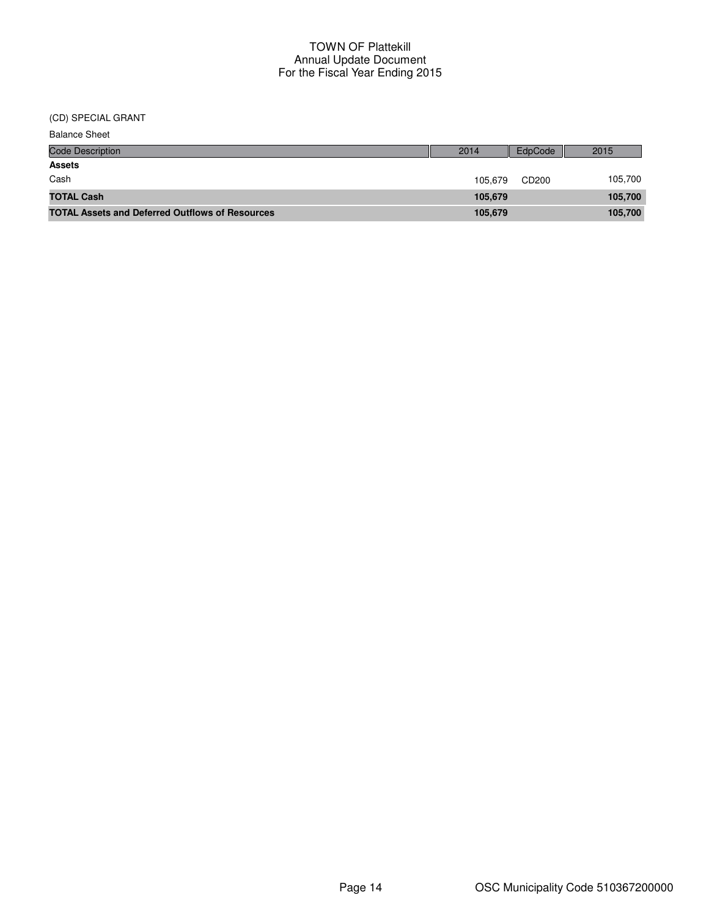(CD) SPECIAL GRANT

| <b>Balance Sheet</b>                                   |         |         |         |
|--------------------------------------------------------|---------|---------|---------|
| <b>Code Description</b>                                | 2014    | EdpCode | 2015    |
| <b>Assets</b>                                          |         |         |         |
| Cash                                                   | 105.679 | CD200   | 105,700 |
| <b>TOTAL Cash</b>                                      | 105.679 |         | 105,700 |
| <b>TOTAL Assets and Deferred Outflows of Resources</b> | 105,679 |         | 105,700 |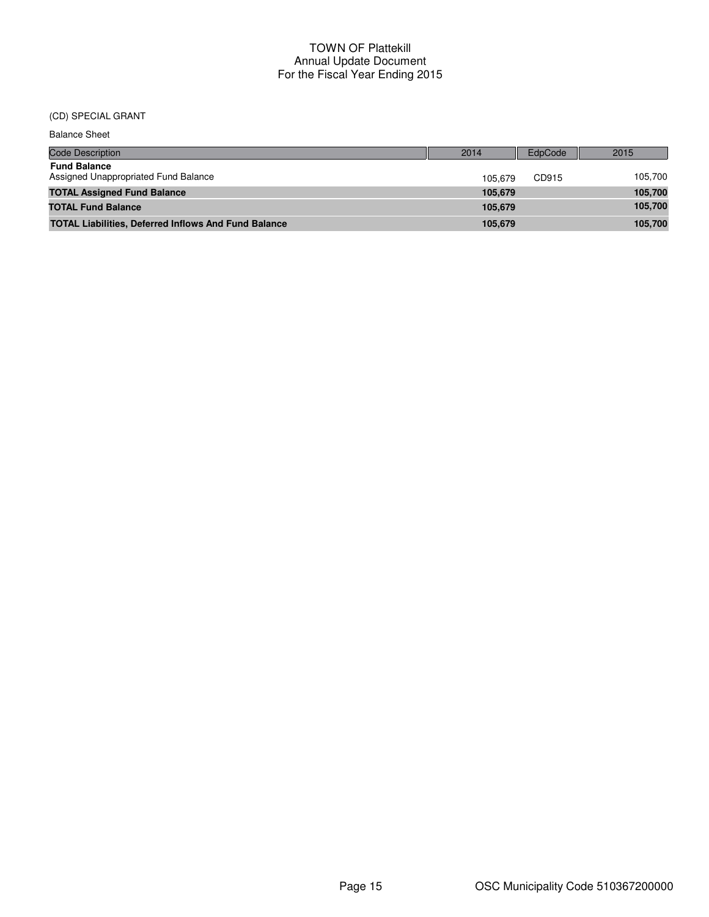## (CD) SPECIAL GRANT

| <b>Balance Sheet</b>                                        |         |                |         |
|-------------------------------------------------------------|---------|----------------|---------|
| Code Description                                            | 2014    | <b>EdpCode</b> | 2015    |
| <b>Fund Balance</b><br>Assigned Unappropriated Fund Balance | 105.679 | CD915          | 105,700 |
| <b>TOTAL Assigned Fund Balance</b>                          | 105,679 |                | 105,700 |
| <b>TOTAL Fund Balance</b>                                   | 105.679 |                | 105,700 |
| <b>TOTAL Liabilities, Deferred Inflows And Fund Balance</b> | 105,679 |                | 105,700 |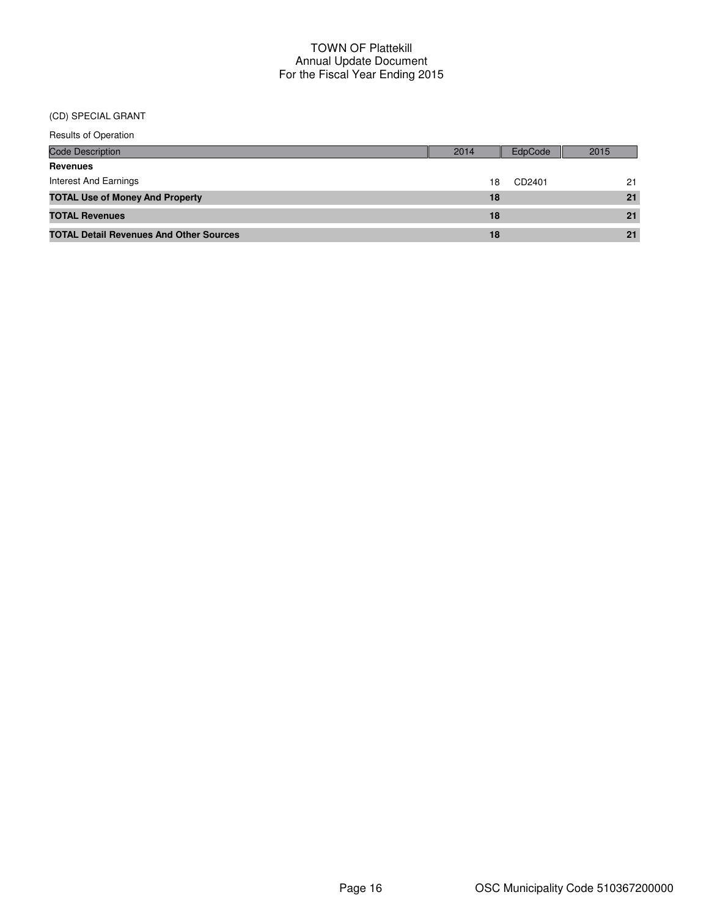#### (CD) SPECIAL GRANT

| <b>Results of Operation</b>                    |      |         |      |  |
|------------------------------------------------|------|---------|------|--|
| <b>Code Description</b>                        | 2014 | EdpCode | 2015 |  |
| <b>Revenues</b>                                |      |         |      |  |
| <b>Interest And Earnings</b>                   | 18   | CD2401  | 21   |  |
| <b>TOTAL Use of Money And Property</b>         | 18   |         | 21   |  |
| <b>TOTAL Revenues</b>                          | 18   |         | 21   |  |
| <b>TOTAL Detail Revenues And Other Sources</b> | 18   |         | 21   |  |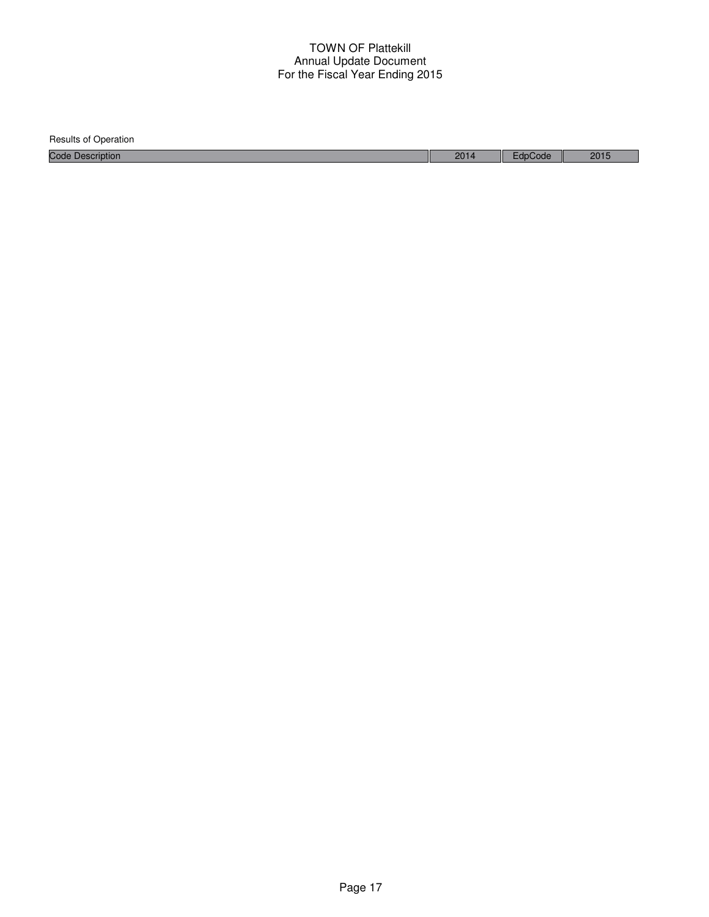| Results of Operation    |      |         |      |
|-------------------------|------|---------|------|
| <b>Code Description</b> | 2014 | EdpCode | 2015 |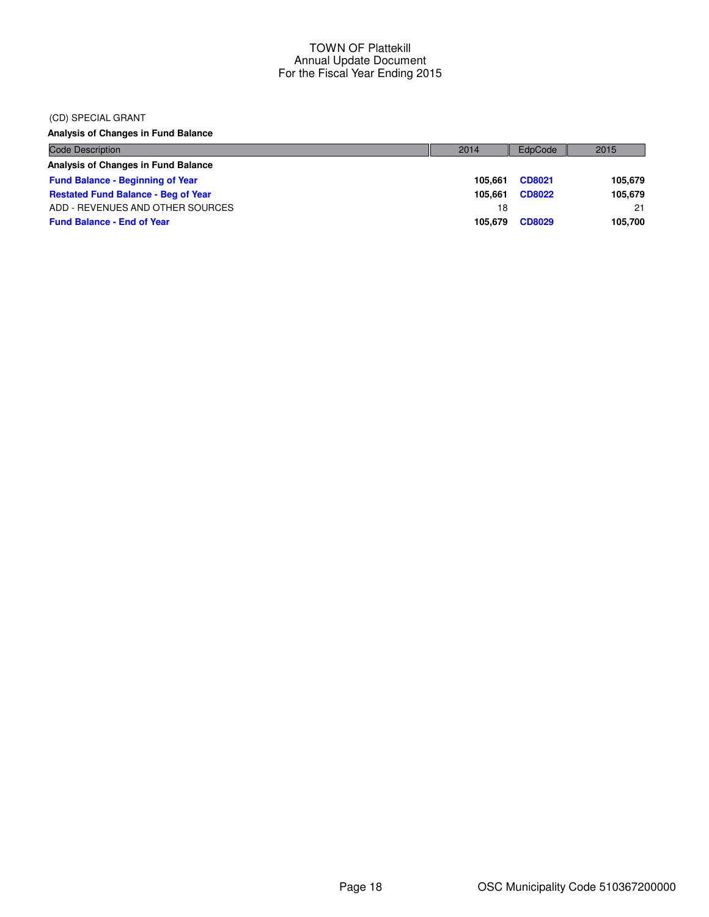#### (CD) SPECIAL GRANT

**Analysis of Changes in Fund Balance**

| <b>Code Description</b>                    | 2014    | EdpCode       | 2015    |
|--------------------------------------------|---------|---------------|---------|
| Analysis of Changes in Fund Balance        |         |               |         |
| <b>Fund Balance - Beginning of Year</b>    | 105.661 | CD8021        | 105.679 |
| <b>Restated Fund Balance - Beg of Year</b> | 105.661 | <b>CD8022</b> | 105,679 |
| ADD - REVENUES AND OTHER SOURCES           | 18      |               | 21      |
| <b>Fund Balance - End of Year</b>          | 105.679 | <b>CD8029</b> | 105,700 |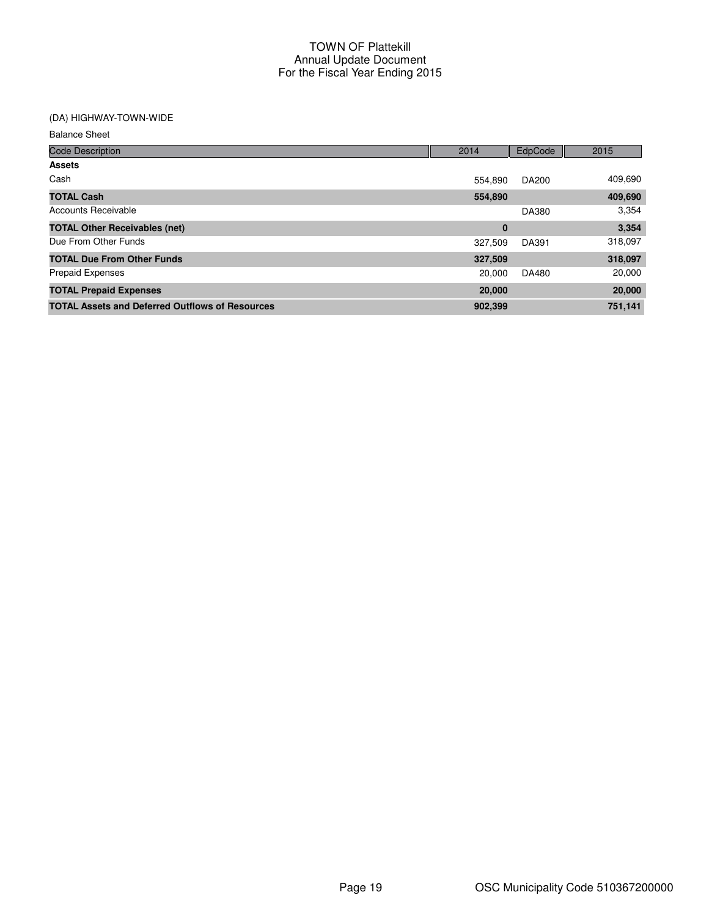## (DA) HIGHWAY-TOWN-WIDE

| <b>Balance Sheet</b> |  |
|----------------------|--|
|----------------------|--|

| <b>Code Description</b>                                | 2014    | EdpCode | 2015    |
|--------------------------------------------------------|---------|---------|---------|
| <b>Assets</b>                                          |         |         |         |
| Cash                                                   | 554.890 | DA200   | 409,690 |
| <b>TOTAL Cash</b>                                      | 554,890 |         | 409,690 |
| Accounts Receivable                                    |         | DA380   | 3,354   |
| <b>TOTAL Other Receivables (net)</b>                   | 0       |         | 3,354   |
| Due From Other Funds                                   | 327,509 | DA391   | 318,097 |
| <b>TOTAL Due From Other Funds</b>                      | 327,509 |         | 318,097 |
| <b>Prepaid Expenses</b>                                | 20,000  | DA480   | 20,000  |
| <b>TOTAL Prepaid Expenses</b>                          | 20,000  |         | 20,000  |
| <b>TOTAL Assets and Deferred Outflows of Resources</b> | 902,399 |         | 751,141 |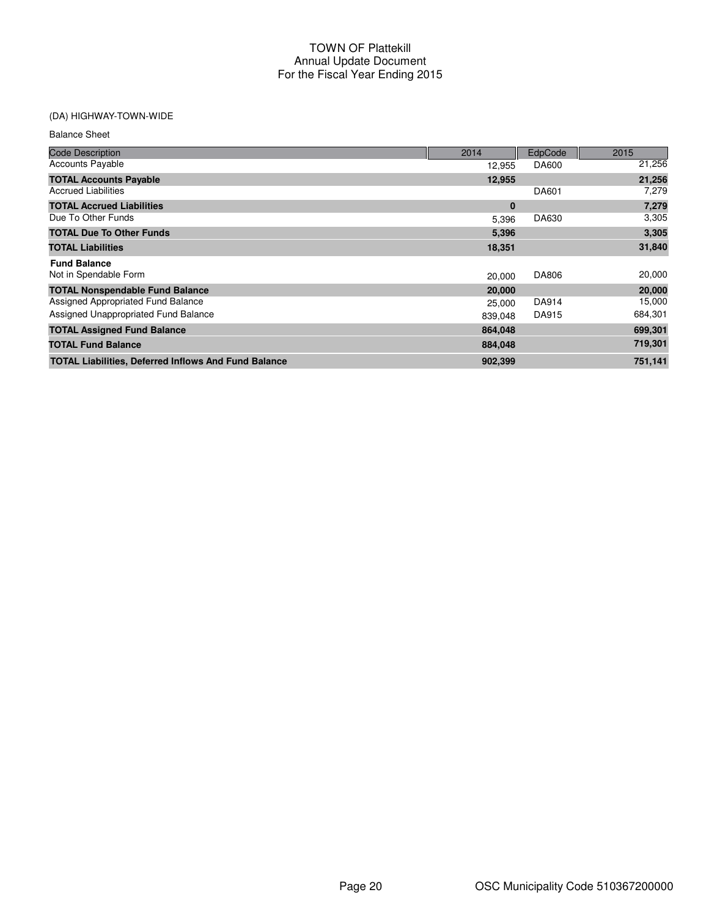# (DA) HIGHWAY-TOWN-WIDE

| <b>Balance Sheet</b>                                        |         |         |         |
|-------------------------------------------------------------|---------|---------|---------|
| <b>Code Description</b>                                     | 2014    | EdpCode | 2015    |
| <b>Accounts Payable</b>                                     | 12,955  | DA600   | 21,256  |
| <b>TOTAL Accounts Payable</b>                               | 12,955  |         | 21,256  |
| <b>Accrued Liabilities</b>                                  |         | DA601   | 7,279   |
| <b>TOTAL Accrued Liabilities</b>                            | 0       |         | 7,279   |
| Due To Other Funds                                          | 5,396   | DA630   | 3,305   |
| <b>TOTAL Due To Other Funds</b>                             | 5,396   |         | 3,305   |
| <b>TOTAL Liabilities</b>                                    | 18,351  |         | 31,840  |
| <b>Fund Balance</b>                                         |         |         |         |
| Not in Spendable Form                                       | 20,000  | DA806   | 20,000  |
| <b>TOTAL Nonspendable Fund Balance</b>                      | 20,000  |         | 20,000  |
| Assigned Appropriated Fund Balance                          | 25,000  | DA914   | 15,000  |
| Assigned Unappropriated Fund Balance                        | 839,048 | DA915   | 684,301 |
| <b>TOTAL Assigned Fund Balance</b>                          | 864,048 |         | 699,301 |
| <b>TOTAL Fund Balance</b>                                   | 884,048 |         | 719,301 |
| <b>TOTAL Liabilities, Deferred Inflows And Fund Balance</b> | 902,399 |         | 751,141 |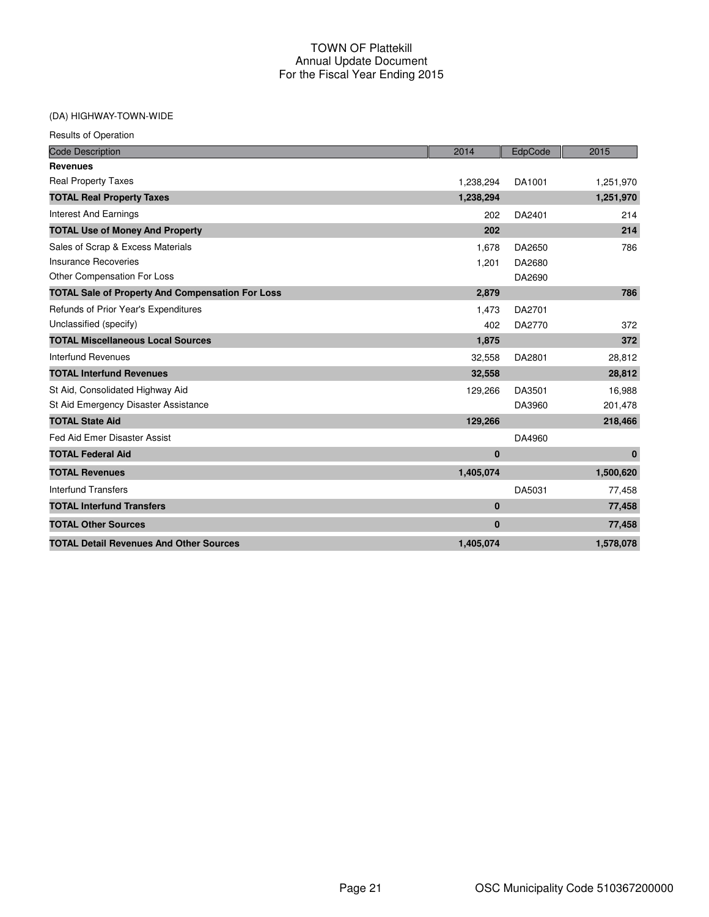## (DA) HIGHWAY-TOWN-WIDE

| <b>Code Description</b>                                 | 2014        | EdpCode | 2015      |
|---------------------------------------------------------|-------------|---------|-----------|
| <b>Revenues</b>                                         |             |         |           |
| <b>Real Property Taxes</b>                              | 1,238,294   | DA1001  | 1,251,970 |
| <b>TOTAL Real Property Taxes</b>                        | 1,238,294   |         | 1,251,970 |
| <b>Interest And Earnings</b>                            | 202         | DA2401  | 214       |
| <b>TOTAL Use of Money And Property</b>                  | 202         |         | 214       |
| Sales of Scrap & Excess Materials                       | 1,678       | DA2650  | 786       |
| Insurance Recoveries                                    | 1,201       | DA2680  |           |
| Other Compensation For Loss                             |             | DA2690  |           |
| <b>TOTAL Sale of Property And Compensation For Loss</b> | 2,879       |         | 786       |
| Refunds of Prior Year's Expenditures                    | 1,473       | DA2701  |           |
| Unclassified (specify)                                  | 402         | DA2770  | 372       |
| <b>TOTAL Miscellaneous Local Sources</b>                | 1,875       |         | 372       |
| <b>Interfund Revenues</b>                               | 32,558      | DA2801  | 28,812    |
| <b>TOTAL Interfund Revenues</b>                         | 32,558      |         | 28,812    |
| St Aid, Consolidated Highway Aid                        | 129,266     | DA3501  | 16,988    |
| St Aid Emergency Disaster Assistance                    |             | DA3960  | 201,478   |
| <b>TOTAL State Aid</b>                                  | 129,266     |         | 218,466   |
| Fed Aid Emer Disaster Assist                            |             | DA4960  |           |
| <b>TOTAL Federal Aid</b>                                | $\mathbf 0$ |         | $\bf{0}$  |
| <b>TOTAL Revenues</b>                                   | 1,405,074   |         | 1,500,620 |
| <b>Interfund Transfers</b>                              |             | DA5031  | 77,458    |
| <b>TOTAL Interfund Transfers</b>                        | $\mathbf 0$ |         | 77,458    |
| <b>TOTAL Other Sources</b>                              | $\mathbf 0$ |         | 77,458    |
| <b>TOTAL Detail Revenues And Other Sources</b>          | 1,405,074   |         | 1,578,078 |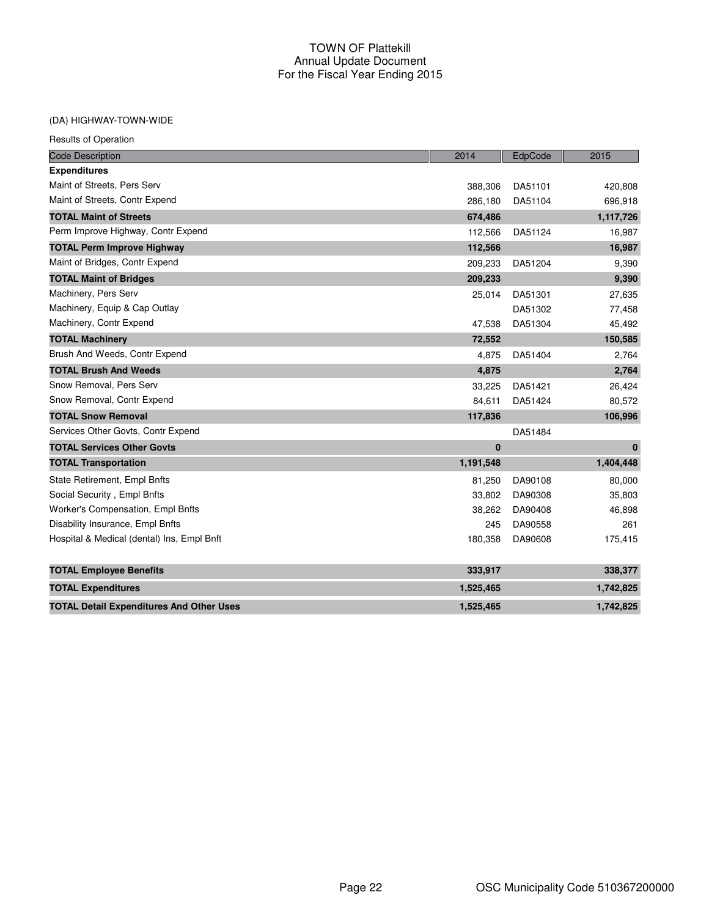#### (DA) HIGHWAY-TOWN-WIDE

| <b>Code Description</b>                         | 2014      | EdpCode | 2015      |
|-------------------------------------------------|-----------|---------|-----------|
| <b>Expenditures</b>                             |           |         |           |
| Maint of Streets, Pers Serv                     | 388,306   | DA51101 | 420,808   |
| Maint of Streets, Contr Expend                  | 286,180   | DA51104 | 696,918   |
| <b>TOTAL Maint of Streets</b>                   | 674,486   |         | 1,117,726 |
| Perm Improve Highway, Contr Expend              | 112,566   | DA51124 | 16,987    |
| <b>TOTAL Perm Improve Highway</b>               | 112,566   |         | 16,987    |
| Maint of Bridges, Contr Expend                  | 209,233   | DA51204 | 9,390     |
| <b>TOTAL Maint of Bridges</b>                   | 209,233   |         | 9,390     |
| Machinery, Pers Serv                            | 25,014    | DA51301 | 27,635    |
| Machinery, Equip & Cap Outlay                   |           | DA51302 | 77,458    |
| Machinery, Contr Expend                         | 47,538    | DA51304 | 45,492    |
| <b>TOTAL Machinery</b>                          | 72,552    |         | 150,585   |
| Brush And Weeds, Contr Expend                   | 4,875     | DA51404 | 2,764     |
| <b>TOTAL Brush And Weeds</b>                    | 4,875     |         | 2,764     |
| Snow Removal, Pers Serv                         | 33,225    | DA51421 | 26,424    |
| Snow Removal, Contr Expend                      | 84,611    | DA51424 | 80,572    |
| <b>TOTAL Snow Removal</b>                       | 117,836   |         | 106,996   |
| Services Other Govts, Contr Expend              |           | DA51484 |           |
| <b>TOTAL Services Other Govts</b>               | 0         |         | $\bf{0}$  |
| <b>TOTAL Transportation</b>                     | 1,191,548 |         | 1,404,448 |
| State Retirement, Empl Bnfts                    | 81,250    | DA90108 | 80,000    |
| Social Security, Empl Bnfts                     | 33,802    | DA90308 | 35,803    |
| Worker's Compensation, Empl Bnfts               | 38,262    | DA90408 | 46,898    |
| Disability Insurance, Empl Bnfts                | 245       | DA90558 | 261       |
| Hospital & Medical (dental) Ins, Empl Bnft      | 180,358   | DA90608 | 175,415   |
| <b>TOTAL Employee Benefits</b>                  | 333,917   |         | 338,377   |
| <b>TOTAL Expenditures</b>                       | 1,525,465 |         | 1,742,825 |
| <b>TOTAL Detail Expenditures And Other Uses</b> | 1,525,465 |         | 1,742,825 |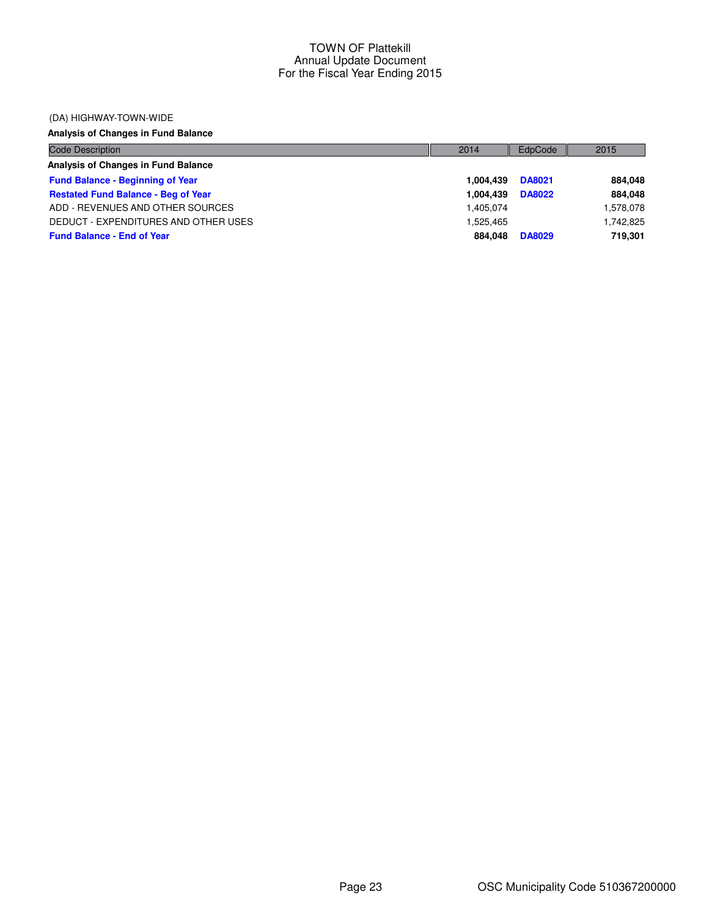#### (DA) HIGHWAY-TOWN-WIDE

# **Analysis of Changes in Fund Balance**

| Code Description                           | 2014      | EdpCode       | 2015      |
|--------------------------------------------|-----------|---------------|-----------|
| Analysis of Changes in Fund Balance        |           |               |           |
| <b>Fund Balance - Beginning of Year</b>    | 1.004.439 | <b>DA8021</b> | 884.048   |
| <b>Restated Fund Balance - Beg of Year</b> | 1.004.439 | <b>DA8022</b> | 884.048   |
| ADD - REVENUES AND OTHER SOURCES           | 1.405.074 |               | 1,578,078 |
| DEDUCT - EXPENDITURES AND OTHER USES       | 1.525.465 |               | 1.742.825 |
| <b>Fund Balance - End of Year</b>          | 884.048   | <b>DA8029</b> | 719.301   |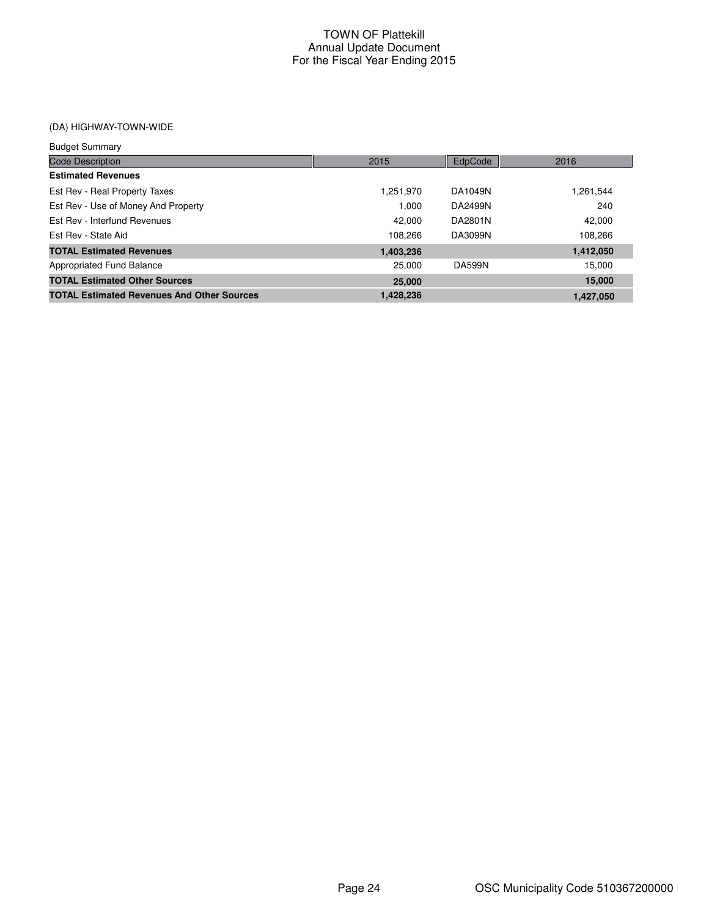# (DA) HIGHWAY-TOWN-WIDE

| <b>Budget Summary</b>                             |           |               |           |
|---------------------------------------------------|-----------|---------------|-----------|
| <b>Code Description</b>                           | 2015      | EdpCode       | 2016      |
| <b>Estimated Revenues</b>                         |           |               |           |
| Est Rev - Real Property Taxes                     | 1.251.970 | DA1049N       | 1,261,544 |
| Est Rev - Use of Money And Property               | 1.000     | DA2499N       | 240       |
| Est Rev - Interfund Revenues                      | 42.000    | DA2801N       | 42,000    |
| Est Rev - State Aid                               | 108.266   | DA3099N       | 108,266   |
| <b>TOTAL Estimated Revenues</b>                   | 1,403,236 |               | 1,412,050 |
| Appropriated Fund Balance                         | 25,000    | <b>DA599N</b> | 15.000    |
| <b>TOTAL Estimated Other Sources</b>              | 25,000    |               | 15,000    |
| <b>TOTAL Estimated Revenues And Other Sources</b> | 1,428,236 |               | 1,427,050 |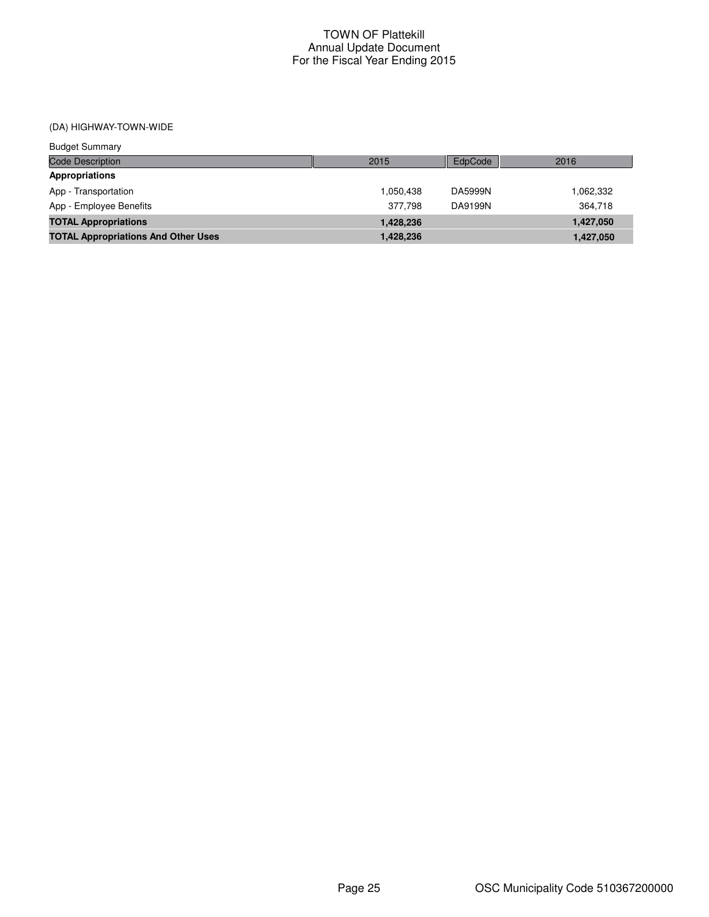(DA) HIGHWAY-TOWN-WIDE

| <b>Budget Summary</b>                      |           |         |           |
|--------------------------------------------|-----------|---------|-----------|
| <b>Code Description</b>                    | 2015      | EdpCode | 2016      |
| Appropriations                             |           |         |           |
| App - Transportation                       | 1.050.438 | DA5999N | 1,062,332 |
| App - Employee Benefits                    | 377.798   | DA9199N | 364.718   |
| <b>TOTAL Appropriations</b>                | 1,428,236 |         | 1,427,050 |
| <b>TOTAL Appropriations And Other Uses</b> | 1,428,236 |         | 1.427.050 |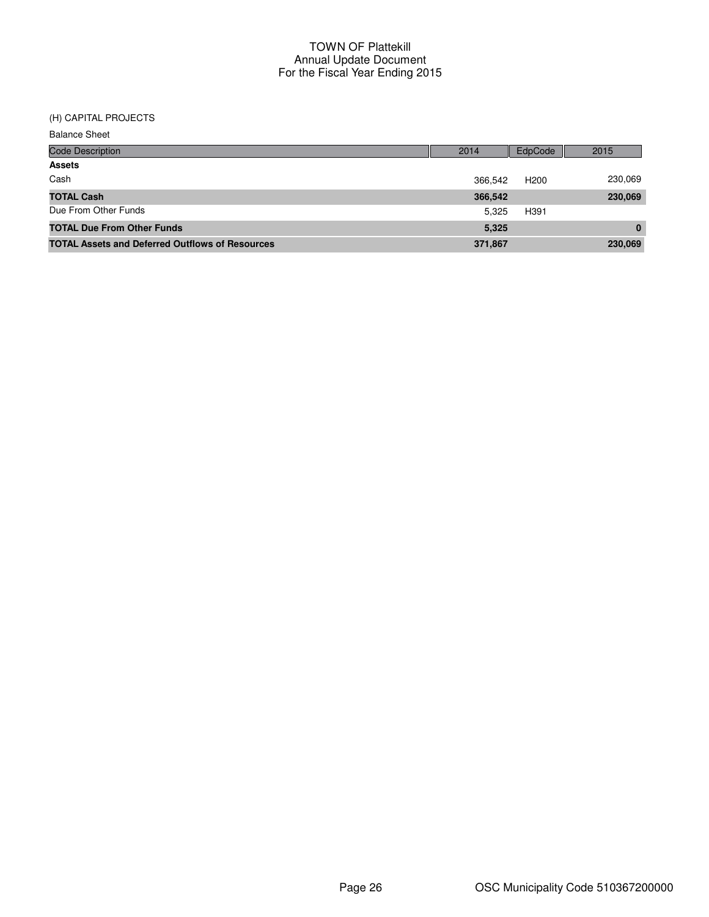#### (H) CAPITAL PROJECTS

| <b>Balance Sheet</b>                                   |         |                  |          |
|--------------------------------------------------------|---------|------------------|----------|
| <b>Code Description</b>                                | 2014    | EdpCode          | 2015     |
| <b>Assets</b>                                          |         |                  |          |
| Cash                                                   | 366,542 | H <sub>200</sub> | 230,069  |
| <b>TOTAL Cash</b>                                      | 366,542 |                  | 230,069  |
| Due From Other Funds                                   | 5,325   | H391             |          |
| <b>TOTAL Due From Other Funds</b>                      | 5,325   |                  | $\Omega$ |
| <b>TOTAL Assets and Deferred Outflows of Resources</b> | 371,867 |                  | 230,069  |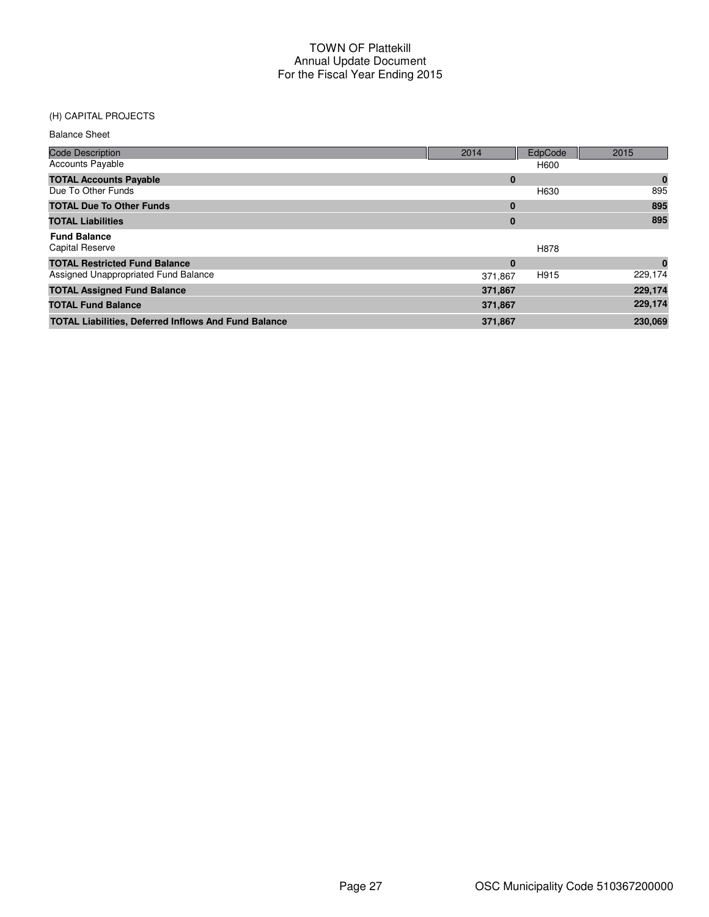**TOTAL Liabilities, Deferred Inflows And Fund Balance 371,867** 371,867 **371,867** 230,069

#### (H) CAPITAL PROJECTS

| <b>Balance Sheet</b>                 |          |         |          |
|--------------------------------------|----------|---------|----------|
| <b>Code Description</b>              | 2014     | EdpCode | 2015     |
| <b>Accounts Payable</b>              |          | H600    |          |
| <b>TOTAL Accounts Payable</b>        | $\bf{0}$ |         | $\bf{0}$ |
| Due To Other Funds                   |          | H630    | 895      |
| <b>TOTAL Due To Other Funds</b>      | 0        |         | 895      |
| <b>TOTAL Liabilities</b>             | 0        |         | 895      |
| <b>Fund Balance</b>                  |          |         |          |
| Capital Reserve                      |          | H878    |          |
| <b>TOTAL Restricted Fund Balance</b> | $\bf{0}$ |         | $\bf{0}$ |
| Assigned Unappropriated Fund Balance | 371.867  | H915    | 229,174  |
| <b>TOTAL Assigned Fund Balance</b>   | 371,867  |         | 229,174  |
| <b>TOTAL Fund Balance</b>            | 371,867  |         | 229,174  |

Page 27 **OSC Municipality Code 510367200000**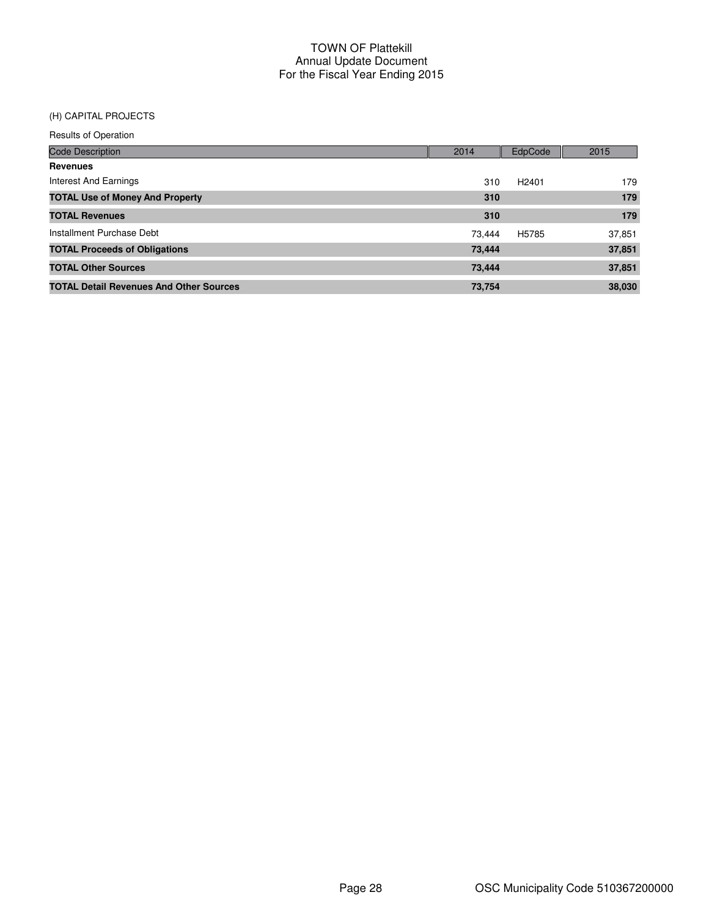## (H) CAPITAL PROJECTS

| <b>Code Description</b>                        | 2014   | EdpCode           | 2015   |
|------------------------------------------------|--------|-------------------|--------|
| <b>Revenues</b>                                |        |                   |        |
| Interest And Earnings                          | 310    | H <sub>2401</sub> | 179    |
| <b>TOTAL Use of Money And Property</b>         | 310    |                   | 179    |
| <b>TOTAL Revenues</b>                          | 310    |                   | 179    |
| Installment Purchase Debt                      | 73.444 | H5785             | 37,851 |
| <b>TOTAL Proceeds of Obligations</b>           | 73,444 |                   | 37,851 |
| <b>TOTAL Other Sources</b>                     | 73,444 |                   | 37,851 |
| <b>TOTAL Detail Revenues And Other Sources</b> | 73,754 |                   | 38,030 |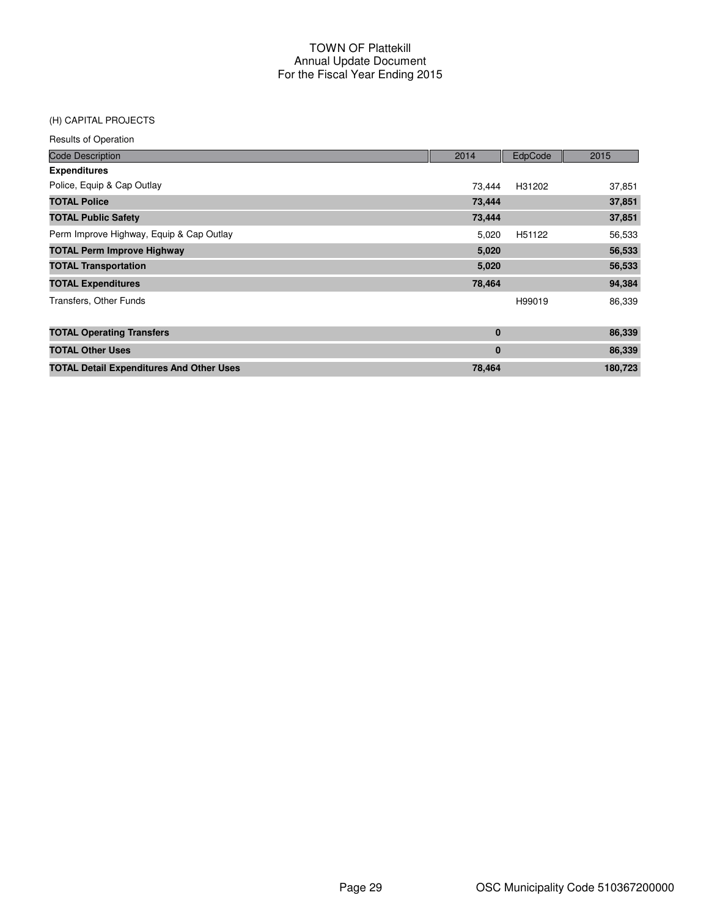#### (H) CAPITAL PROJECTS

| <b>Code Description</b>                         | 2014   | EdpCode            | 2015    |
|-------------------------------------------------|--------|--------------------|---------|
| <b>Expenditures</b>                             |        |                    |         |
| Police, Equip & Cap Outlay                      | 73.444 | H31202             | 37,851  |
| <b>TOTAL Police</b>                             | 73,444 |                    | 37,851  |
| <b>TOTAL Public Safety</b>                      | 73,444 |                    | 37,851  |
| Perm Improve Highway, Equip & Cap Outlay        | 5,020  | H <sub>51122</sub> | 56,533  |
| <b>TOTAL Perm Improve Highway</b>               | 5,020  |                    | 56,533  |
| <b>TOTAL Transportation</b>                     | 5,020  |                    | 56,533  |
| <b>TOTAL Expenditures</b>                       | 78,464 |                    | 94,384  |
| Transfers, Other Funds                          |        | H99019             | 86,339  |
|                                                 |        |                    |         |
| <b>TOTAL Operating Transfers</b>                | 0      |                    | 86,339  |
| <b>TOTAL Other Uses</b>                         | 0      |                    | 86,339  |
| <b>TOTAL Detail Expenditures And Other Uses</b> | 78,464 |                    | 180,723 |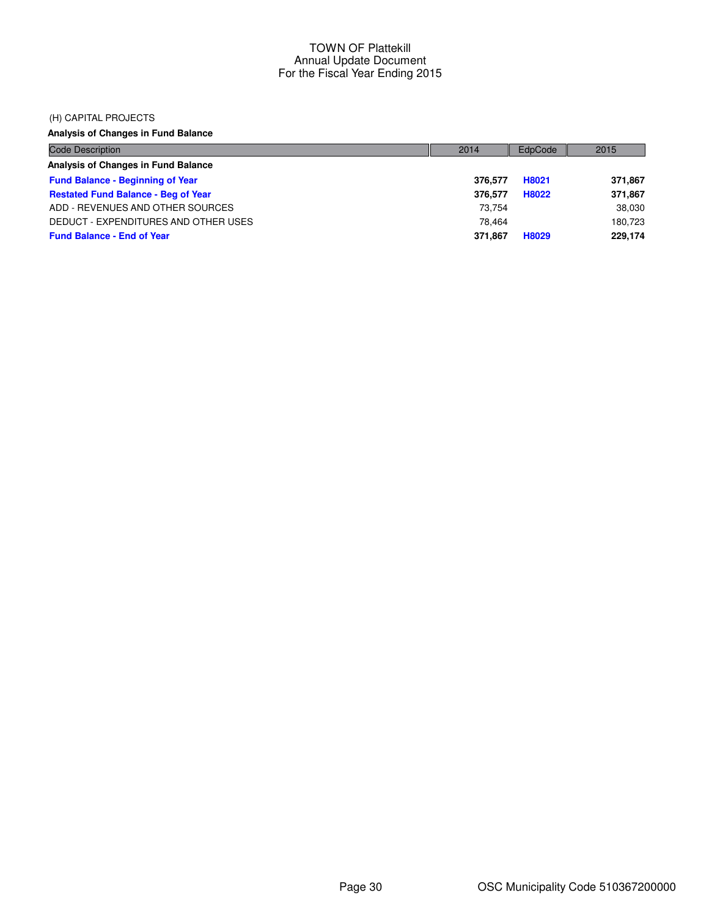#### (H) CAPITAL PROJECTS

# **Analysis of Changes in Fund Balance**

| <b>Code Description</b>                    | 2014    | EdpCode | 2015    |
|--------------------------------------------|---------|---------|---------|
| Analysis of Changes in Fund Balance        |         |         |         |
| <b>Fund Balance - Beginning of Year</b>    | 376.577 | H8021   | 371,867 |
| <b>Restated Fund Balance - Beg of Year</b> | 376.577 | H8022   | 371,867 |
| ADD - REVENUES AND OTHER SOURCES           | 73.754  |         | 38,030  |
| DEDUCT - EXPENDITURES AND OTHER USES       | 78.464  |         | 180.723 |
| <b>Fund Balance - End of Year</b>          | 371.867 | H8029   | 229,174 |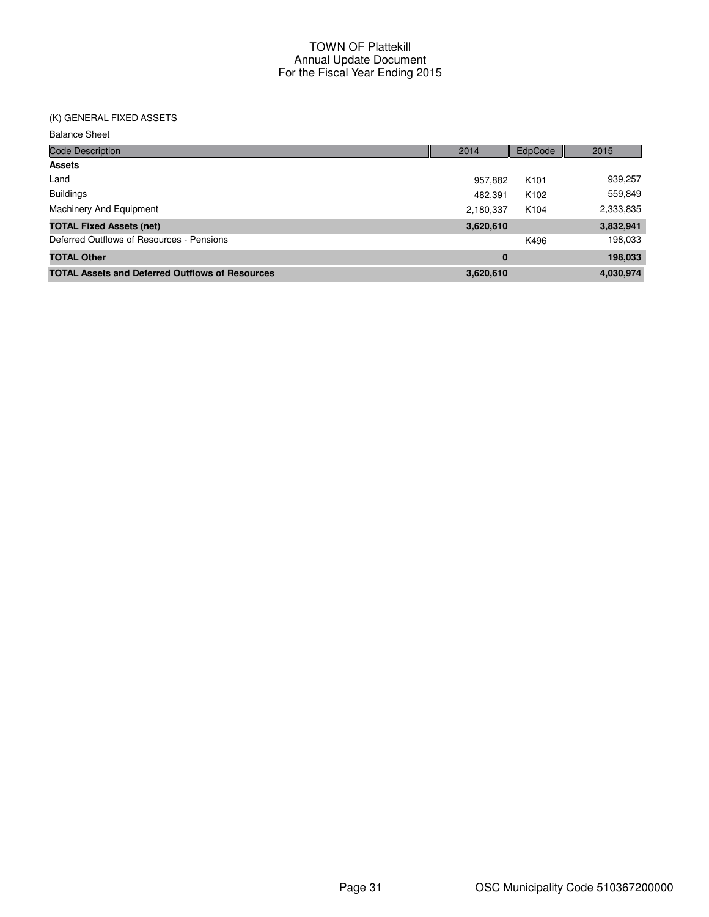## (K) GENERAL FIXED ASSETS

Balance Sheet

| <b>Code Description</b>                                | 2014      | EdpCode          | 2015      |
|--------------------------------------------------------|-----------|------------------|-----------|
| <b>Assets</b>                                          |           |                  |           |
| Land                                                   | 957,882   | K <sub>101</sub> | 939,257   |
| <b>Buildings</b>                                       | 482.391   | K <sub>102</sub> | 559,849   |
| Machinery And Equipment                                | 2,180,337 | K104             | 2,333,835 |
| <b>TOTAL Fixed Assets (net)</b>                        | 3,620,610 |                  | 3,832,941 |
| Deferred Outflows of Resources - Pensions              |           | K496             | 198,033   |
| <b>TOTAL Other</b>                                     | $\bf{0}$  |                  | 198,033   |
| <b>TOTAL Assets and Deferred Outflows of Resources</b> | 3,620,610 |                  | 4,030,974 |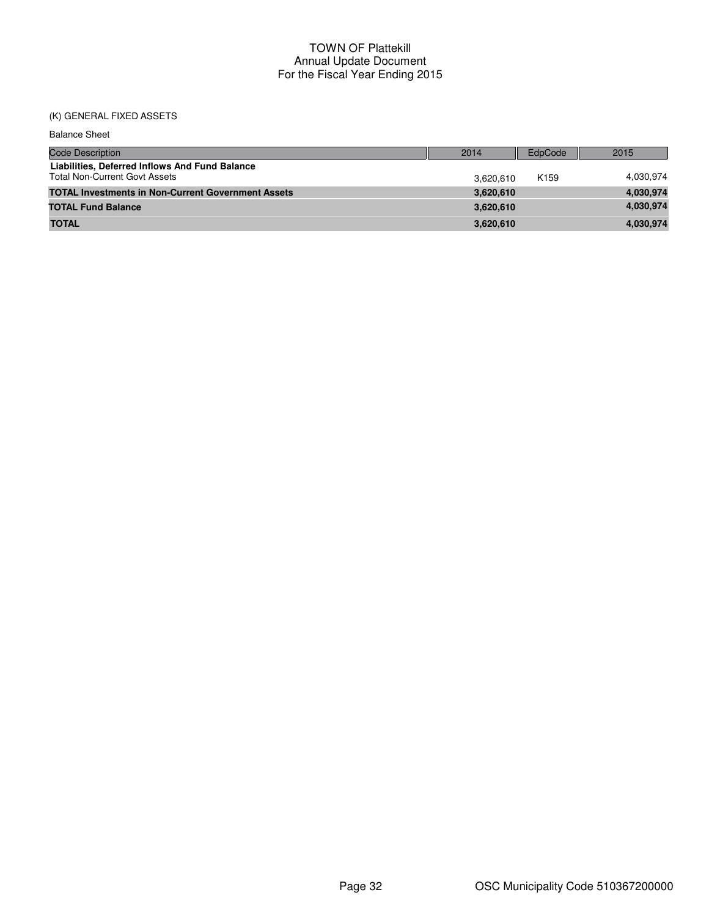# (K) GENERAL FIXED ASSETS

| <b>Balance Sheet</b>                                                                   |           |                  |           |
|----------------------------------------------------------------------------------------|-----------|------------------|-----------|
| <b>Code Description</b>                                                                | 2014      | EdpCode          | 2015      |
| Liabilities, Deferred Inflows And Fund Balance<br><b>Total Non-Current Govt Assets</b> | 3.620.610 | K <sub>159</sub> | 4,030,974 |
| <b>TOTAL Investments in Non-Current Government Assets</b>                              | 3,620,610 |                  | 4,030,974 |
| <b>TOTAL Fund Balance</b>                                                              | 3,620,610 |                  | 4,030,974 |
| <b>TOTAL</b>                                                                           | 3,620,610 |                  | 4,030,974 |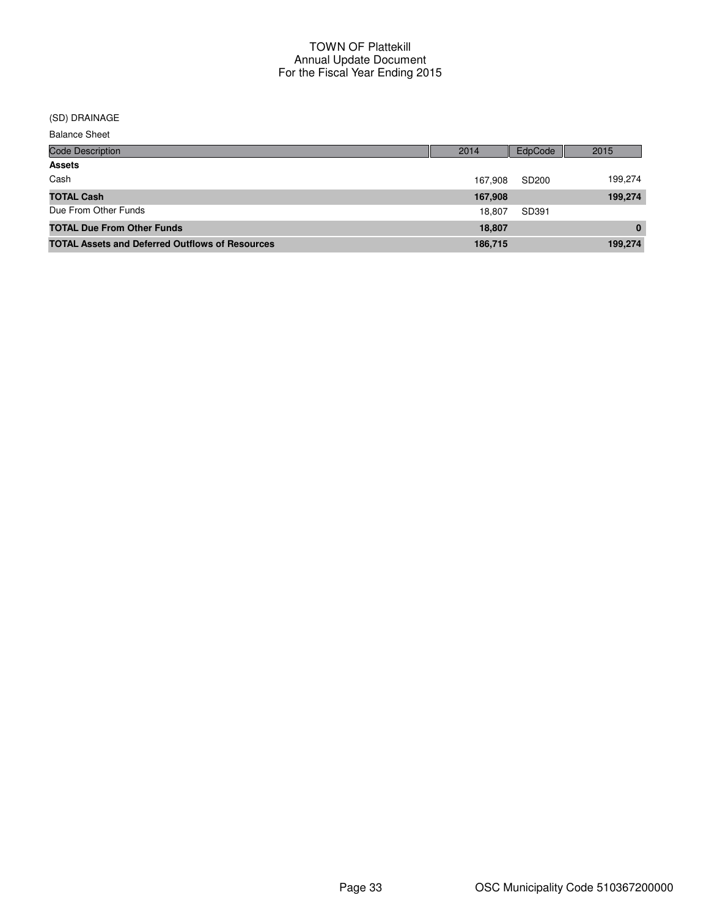#### (SD) DRAINAGE

Balance Sheet

| <b>Code Description</b>                                | 2014    | EdpCode | 2015     |
|--------------------------------------------------------|---------|---------|----------|
| <b>Assets</b>                                          |         |         |          |
| Cash                                                   | 167.908 | SD200   | 199,274  |
| <b>TOTAL Cash</b>                                      | 167,908 |         | 199,274  |
| Due From Other Funds                                   | 18.807  | SD391   |          |
| <b>TOTAL Due From Other Funds</b>                      | 18,807  |         | $\bf{0}$ |
| <b>TOTAL Assets and Deferred Outflows of Resources</b> | 186,715 |         | 199,274  |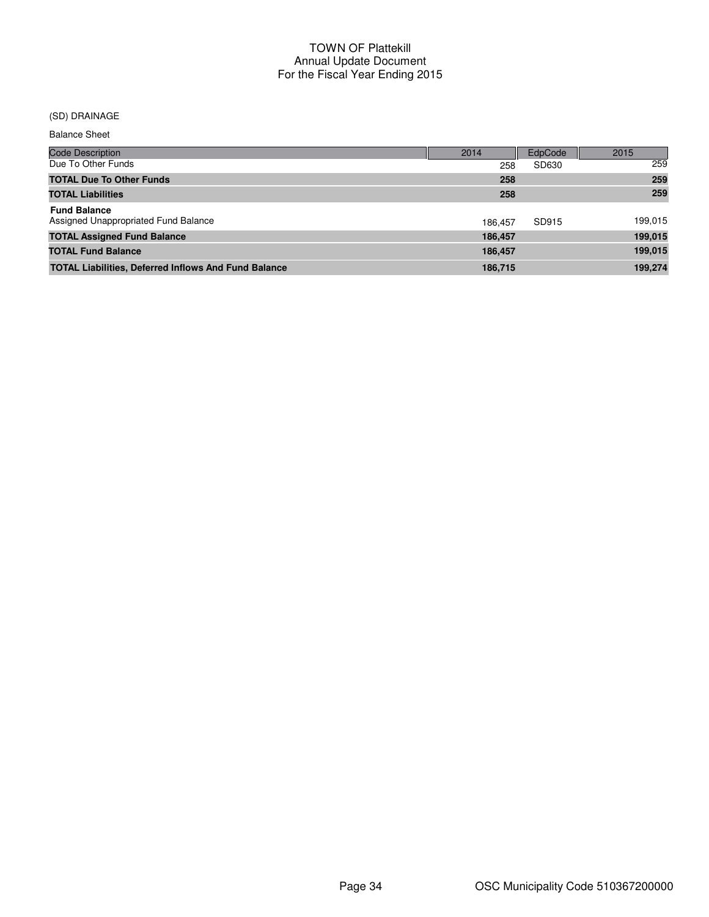## (SD) DRAINAGE

Balance Sheet

| <b>Code Description</b>                                     | 2014    | EdpCode | 2015    |
|-------------------------------------------------------------|---------|---------|---------|
| Due To Other Funds                                          | 258     | SD630   | 259     |
| <b>TOTAL Due To Other Funds</b>                             | 258     |         | 259     |
| <b>TOTAL Liabilities</b>                                    | 258     |         | 259     |
| <b>Fund Balance</b><br>Assigned Unappropriated Fund Balance | 186.457 | SD915   | 199,015 |
| <b>TOTAL Assigned Fund Balance</b>                          | 186,457 |         | 199,015 |
| <b>TOTAL Fund Balance</b>                                   | 186,457 |         | 199,015 |
| <b>TOTAL Liabilities, Deferred Inflows And Fund Balance</b> | 186,715 |         | 199,274 |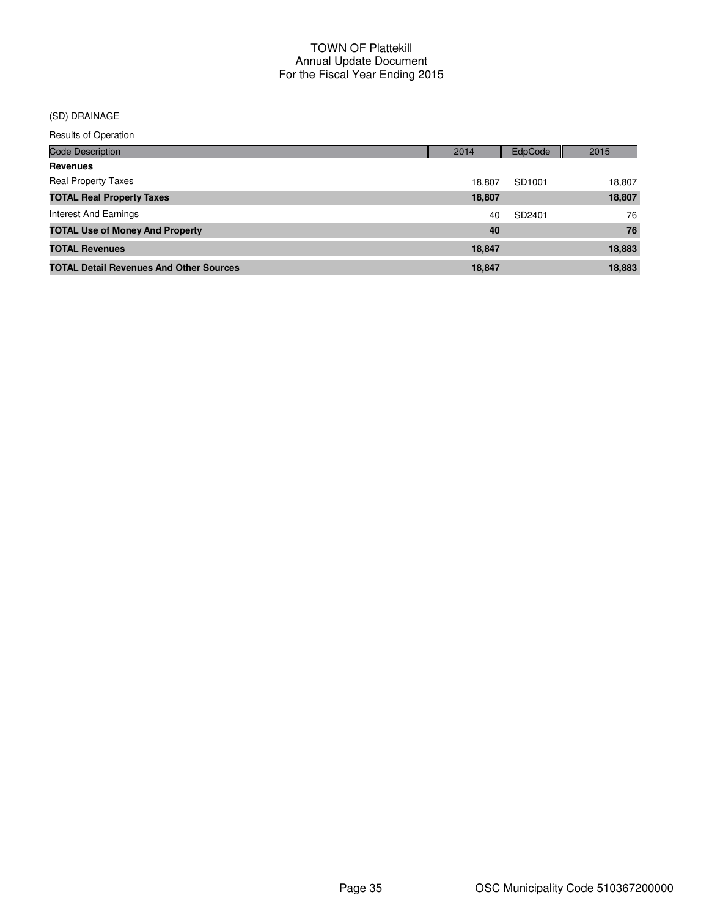## (SD) DRAINAGE

| <b>Code Description</b>                        | 2014   | EdpCode | 2015   |
|------------------------------------------------|--------|---------|--------|
| <b>Revenues</b>                                |        |         |        |
| <b>Real Property Taxes</b>                     | 18.807 | SD1001  | 18,807 |
| <b>TOTAL Real Property Taxes</b>               | 18,807 |         | 18,807 |
| Interest And Earnings                          | 40     | SD2401  | 76     |
| <b>TOTAL Use of Money And Property</b>         | 40     |         | 76     |
| <b>TOTAL Revenues</b>                          | 18,847 |         | 18,883 |
| <b>TOTAL Detail Revenues And Other Sources</b> | 18,847 |         | 18.883 |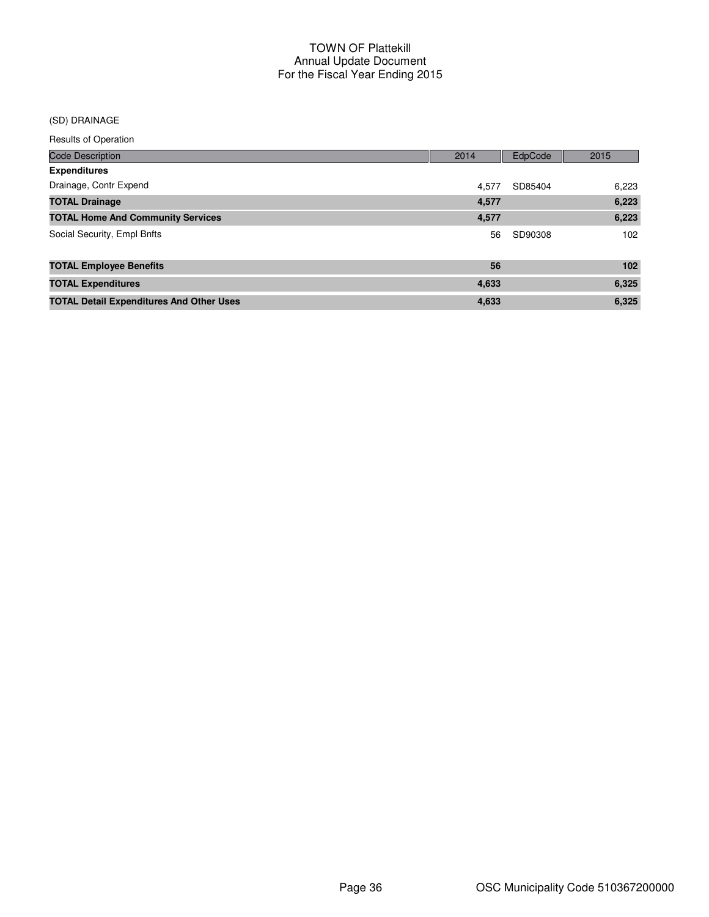## (SD) DRAINAGE

| <b>Code Description</b>                         | 2014  | EdpCode | 2015  |
|-------------------------------------------------|-------|---------|-------|
| <b>Expenditures</b>                             |       |         |       |
| Drainage, Contr Expend                          | 4.577 | SD85404 | 6,223 |
| <b>TOTAL Drainage</b>                           | 4,577 |         | 6,223 |
| <b>TOTAL Home And Community Services</b>        | 4,577 |         | 6,223 |
| Social Security, Empl Bnfts                     | 56    | SD90308 | 102   |
| <b>TOTAL Employee Benefits</b>                  | 56    |         | 102   |
| <b>TOTAL Expenditures</b>                       | 4,633 |         | 6,325 |
| <b>TOTAL Detail Expenditures And Other Uses</b> | 4,633 |         | 6,325 |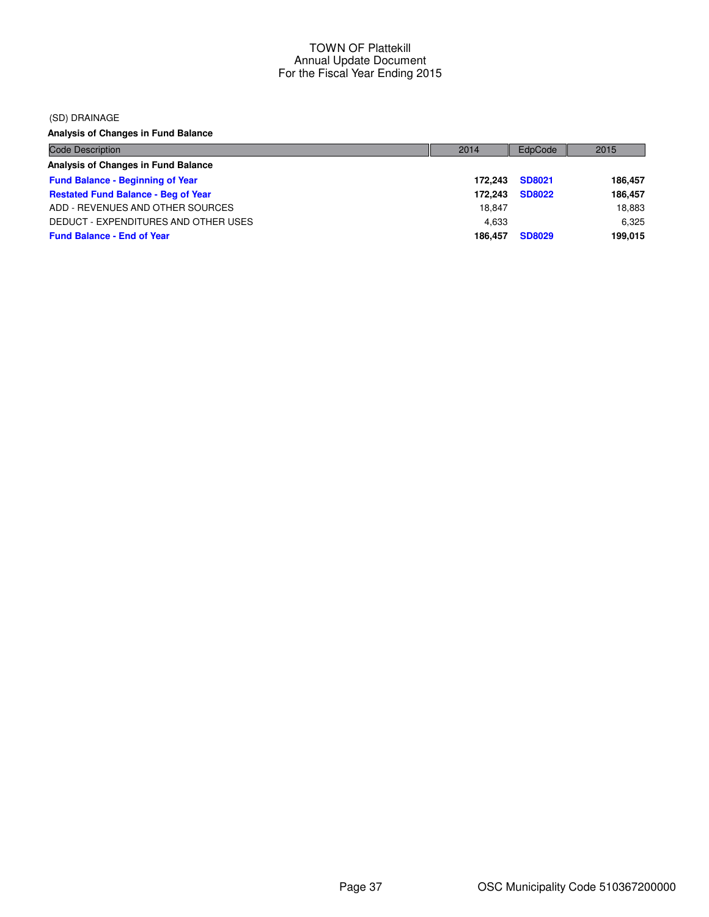(SD) DRAINAGE

**Analysis of Changes in Fund Balance**

| Code Description                           | 2014    | EdpCode       | 2015    |
|--------------------------------------------|---------|---------------|---------|
| Analysis of Changes in Fund Balance        |         |               |         |
| <b>Fund Balance - Beginning of Year</b>    | 172.243 | SD8021        | 186.457 |
| <b>Restated Fund Balance - Beg of Year</b> | 172.243 | <b>SD8022</b> | 186.457 |
| ADD - REVENUES AND OTHER SOURCES           | 18.847  |               | 18,883  |
| DEDUCT - EXPENDITURES AND OTHER USES       | 4.633   |               | 6.325   |
| <b>Fund Balance - End of Year</b>          | 186.457 | <b>SD8029</b> | 199,015 |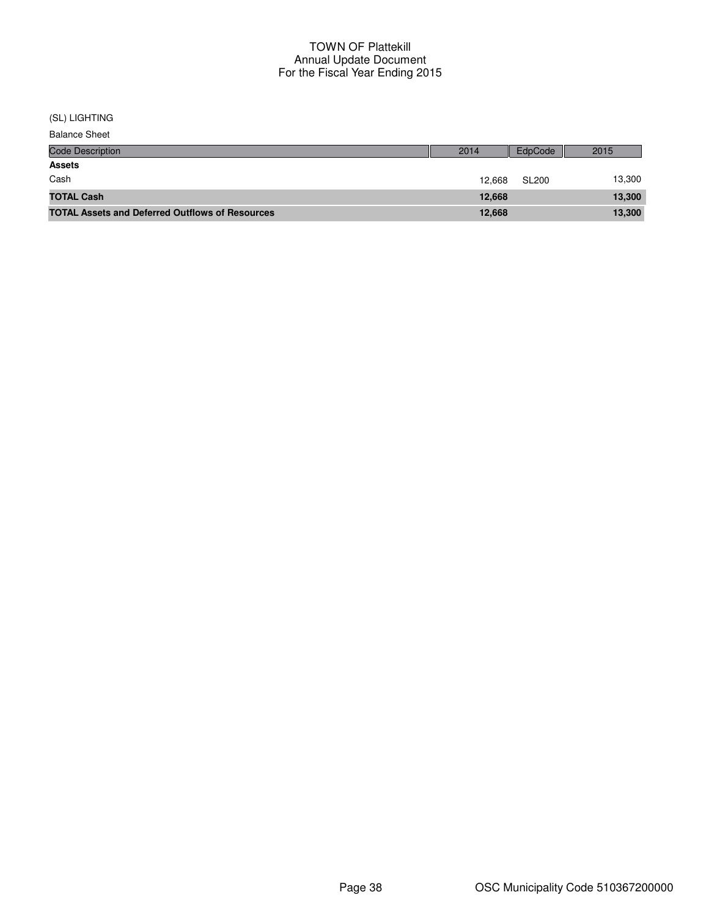(SL) LIGHTING

| <b>Balance Sheet</b> |  |
|----------------------|--|
|----------------------|--|

| <b>Code Description</b>                                | 2014   | EdpCode      | 2015   |
|--------------------------------------------------------|--------|--------------|--------|
| <b>Assets</b>                                          |        |              |        |
| Cash                                                   | 12.668 | <b>SL200</b> | 13,300 |
| <b>TOTAL Cash</b>                                      | 12.668 |              | 13,300 |
| <b>TOTAL Assets and Deferred Outflows of Resources</b> | 12,668 |              | 13,300 |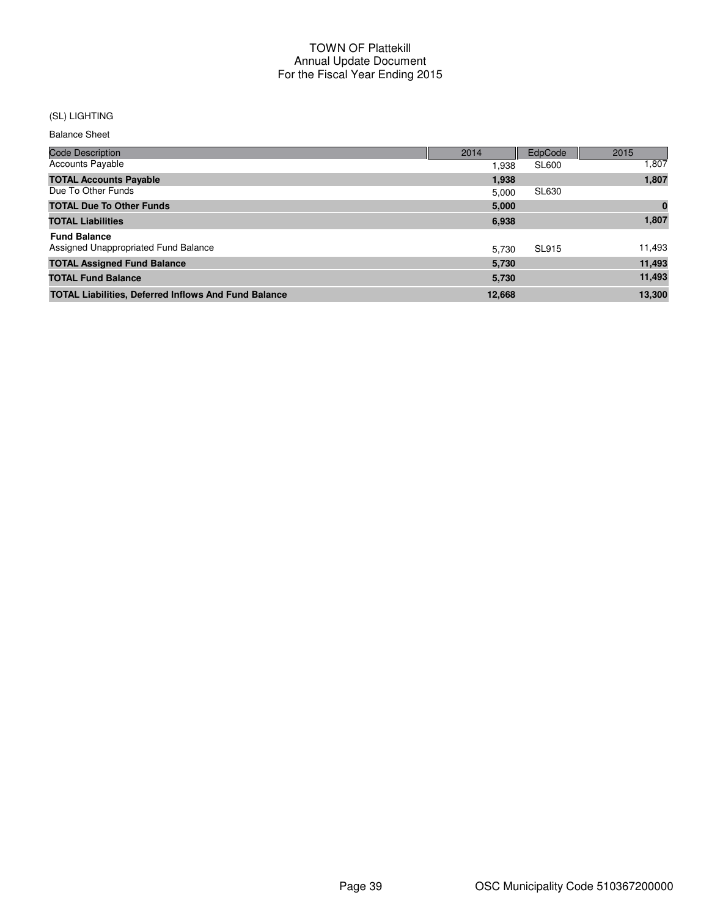## (SL) LIGHTING

Balance Sheet

| <b>Code Description</b>                                     | 2014   | EdpCode      | 2015   |
|-------------------------------------------------------------|--------|--------------|--------|
| <b>Accounts Payable</b>                                     | 1,938  | <b>SL600</b> | 1,807  |
| <b>TOTAL Accounts Payable</b>                               | 1,938  |              | 1,807  |
| Due To Other Funds                                          | 5.000  | SL630        |        |
| <b>TOTAL Due To Other Funds</b>                             | 5.000  |              | 0      |
| <b>TOTAL Liabilities</b>                                    | 6,938  |              | 1,807  |
| <b>Fund Balance</b>                                         |        |              |        |
| Assigned Unappropriated Fund Balance                        | 5.730  | <b>SL915</b> | 11,493 |
| <b>TOTAL Assigned Fund Balance</b>                          | 5,730  |              | 11,493 |
| <b>TOTAL Fund Balance</b>                                   | 5,730  |              | 11,493 |
| <b>TOTAL Liabilities, Deferred Inflows And Fund Balance</b> | 12,668 |              | 13,300 |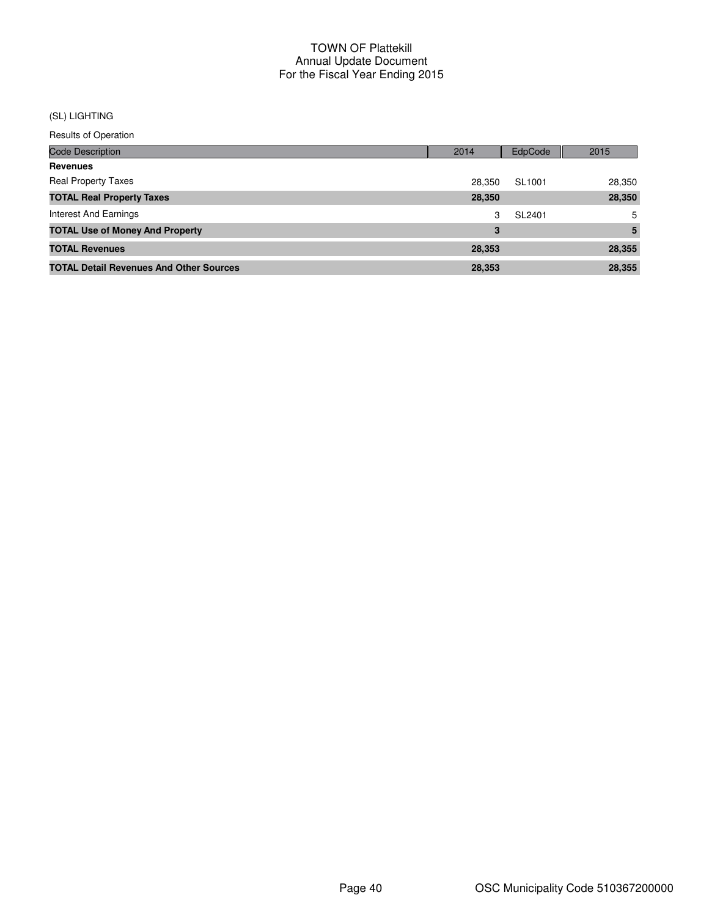## (SL) LIGHTING

| Code Description                               | 2014   | EdpCode | 2015   |
|------------------------------------------------|--------|---------|--------|
| Revenues                                       |        |         |        |
| <b>Real Property Taxes</b>                     | 28.350 | SL1001  | 28,350 |
| <b>TOTAL Real Property Taxes</b>               | 28,350 |         | 28,350 |
| Interest And Earnings                          | 3      | SL2401  | 5      |
| <b>TOTAL Use of Money And Property</b>         | 3      |         | 5      |
| <b>TOTAL Revenues</b>                          | 28,353 |         | 28,355 |
| <b>TOTAL Detail Revenues And Other Sources</b> | 28,353 |         | 28,355 |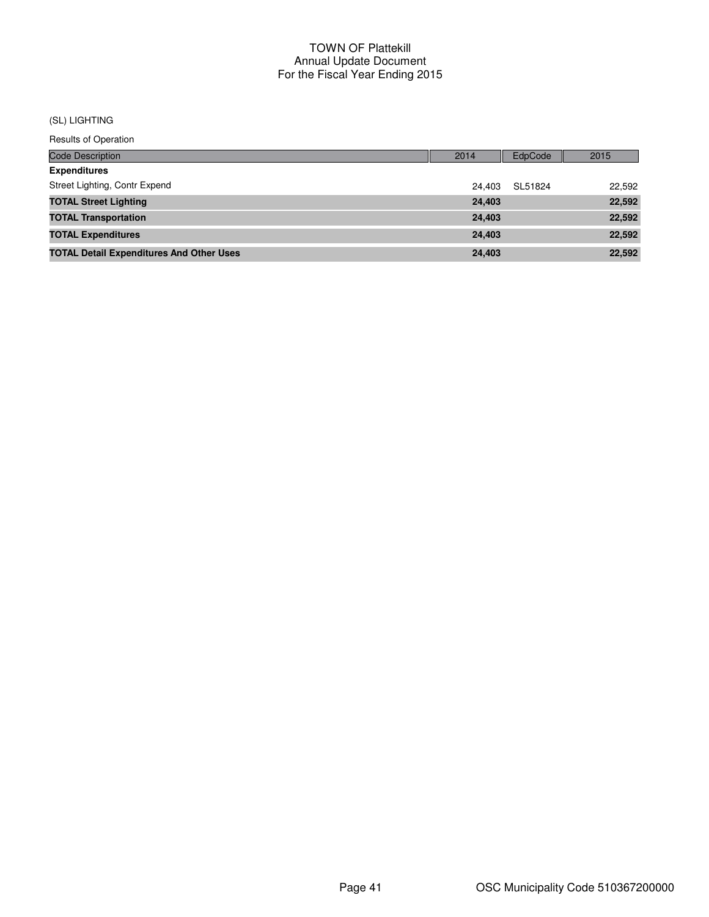#### (SL) LIGHTING

| <b>Code Description</b>                         | 2014   | <b>EdpCode</b> | 2015   |
|-------------------------------------------------|--------|----------------|--------|
| <b>Expenditures</b>                             |        |                |        |
| Street Lighting, Contr Expend                   | 24.403 | SL51824        | 22,592 |
| <b>TOTAL Street Lighting</b>                    | 24,403 |                | 22,592 |
| <b>TOTAL Transportation</b>                     | 24,403 |                | 22,592 |
| <b>TOTAL Expenditures</b>                       | 24.403 |                | 22,592 |
| <b>TOTAL Detail Expenditures And Other Uses</b> | 24,403 |                | 22,592 |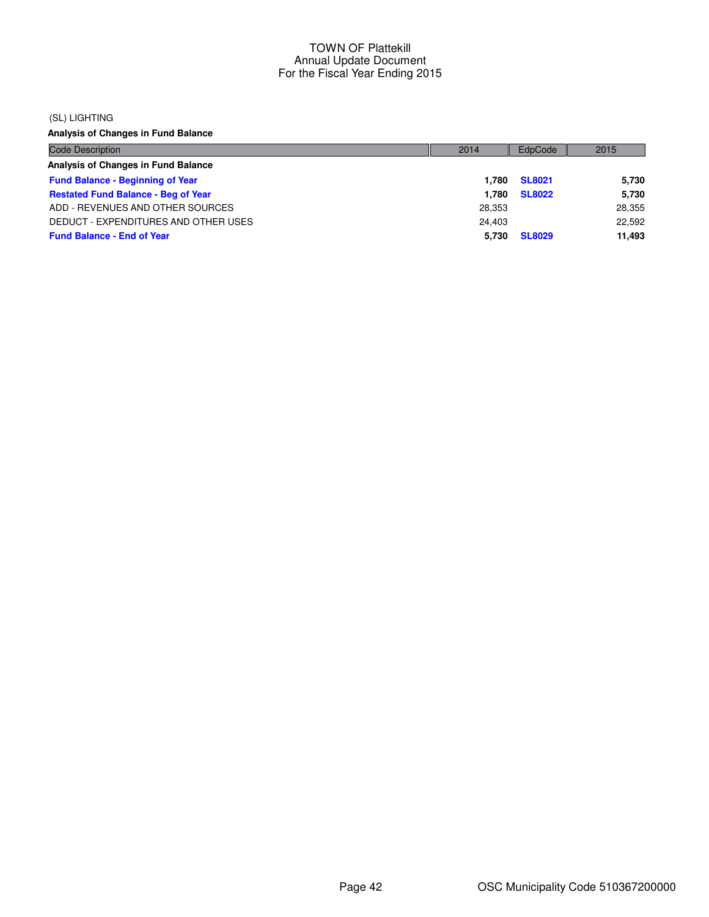#### (SL) LIGHTING

**Analysis of Changes in Fund Balance**

| <b>Code Description</b>                    | 2014   | EdpCode       | 2015   |
|--------------------------------------------|--------|---------------|--------|
| Analysis of Changes in Fund Balance        |        |               |        |
| <b>Fund Balance - Beginning of Year</b>    | 1.780  | <b>SL8021</b> | 5,730  |
| <b>Restated Fund Balance - Beg of Year</b> | 1.780  | <b>SL8022</b> | 5,730  |
| ADD - REVENUES AND OTHER SOURCES           | 28.353 |               | 28,355 |
| DEDUCT - EXPENDITURES AND OTHER USES       | 24.403 |               | 22,592 |
| <b>Fund Balance - End of Year</b>          | 5.730  | <b>SL8029</b> | 11,493 |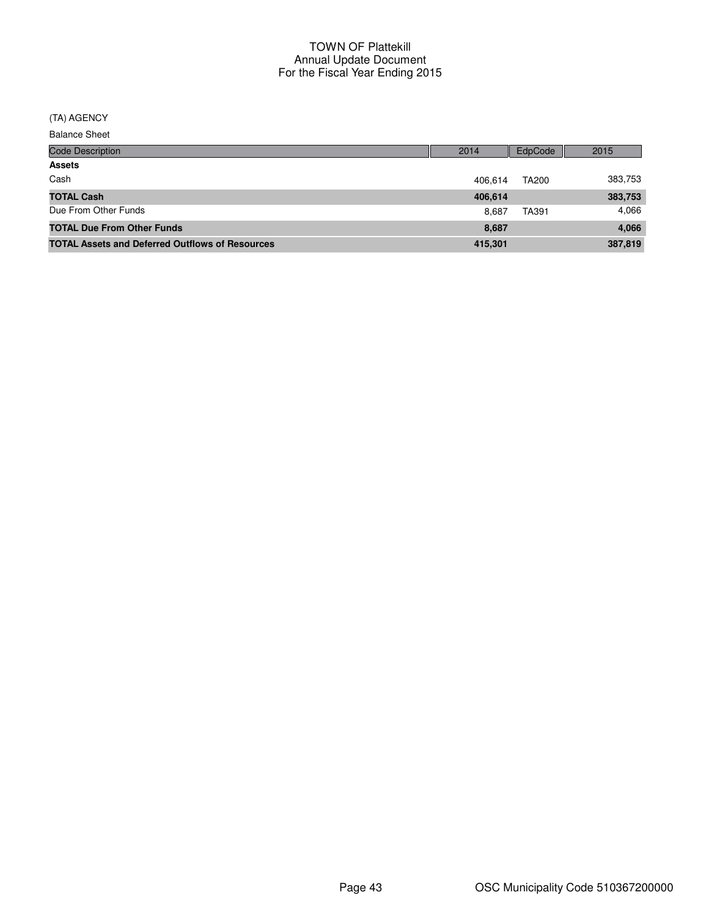#### (TA) AGENCY

Balance Sheet

| <b>Code Description</b>                                | 2014    | EdpCode      | 2015    |
|--------------------------------------------------------|---------|--------------|---------|
| <b>Assets</b>                                          |         |              |         |
| Cash                                                   | 406.614 | <b>TA200</b> | 383,753 |
| <b>TOTAL Cash</b>                                      | 406,614 |              | 383,753 |
| Due From Other Funds                                   | 8.687   | TA391        | 4,066   |
| <b>TOTAL Due From Other Funds</b>                      | 8.687   |              | 4,066   |
| <b>TOTAL Assets and Deferred Outflows of Resources</b> | 415,301 |              | 387,819 |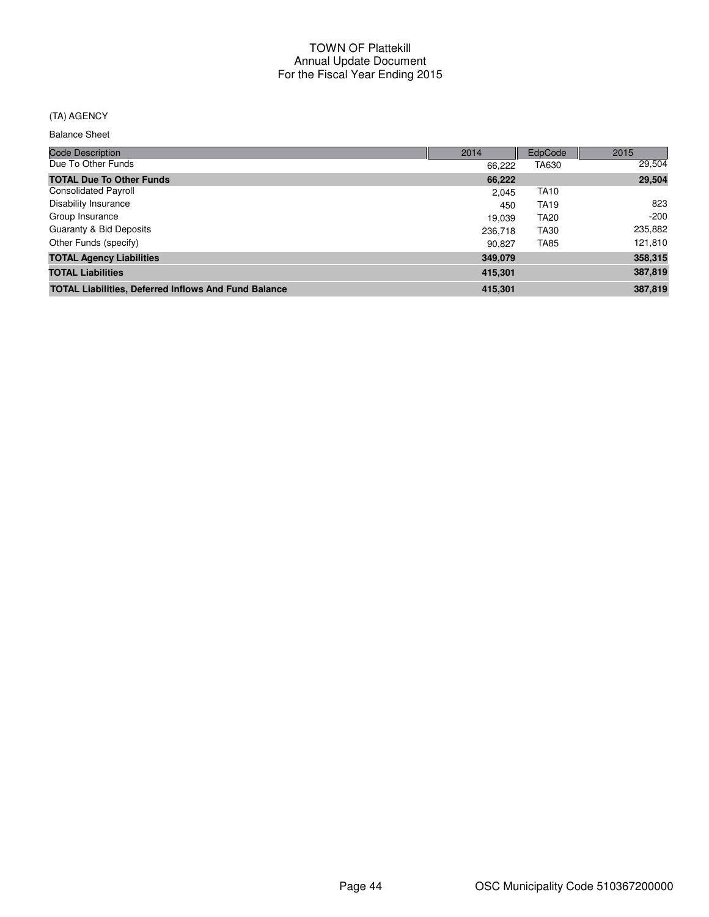## (TA) AGENCY

Balance Sheet

| <b>Code Description</b>                                     | 2014    | EdpCode     | 2015    |
|-------------------------------------------------------------|---------|-------------|---------|
| Due To Other Funds                                          | 66.222  | TA630       | 29,504  |
| <b>TOTAL Due To Other Funds</b>                             | 66,222  |             | 29,504  |
| <b>Consolidated Payroll</b>                                 | 2.045   | <b>TA10</b> |         |
| <b>Disability Insurance</b>                                 | 450     | <b>TA19</b> | 823     |
| Group Insurance                                             | 19.039  | <b>TA20</b> | $-200$  |
| Guaranty & Bid Deposits                                     | 236,718 | TA30        | 235,882 |
| Other Funds (specify)                                       | 90.827  | <b>TA85</b> | 121,810 |
| <b>TOTAL Agency Liabilities</b>                             | 349,079 |             | 358,315 |
| <b>TOTAL Liabilities</b>                                    | 415,301 |             | 387,819 |
| <b>TOTAL Liabilities, Deferred Inflows And Fund Balance</b> | 415,301 |             | 387,819 |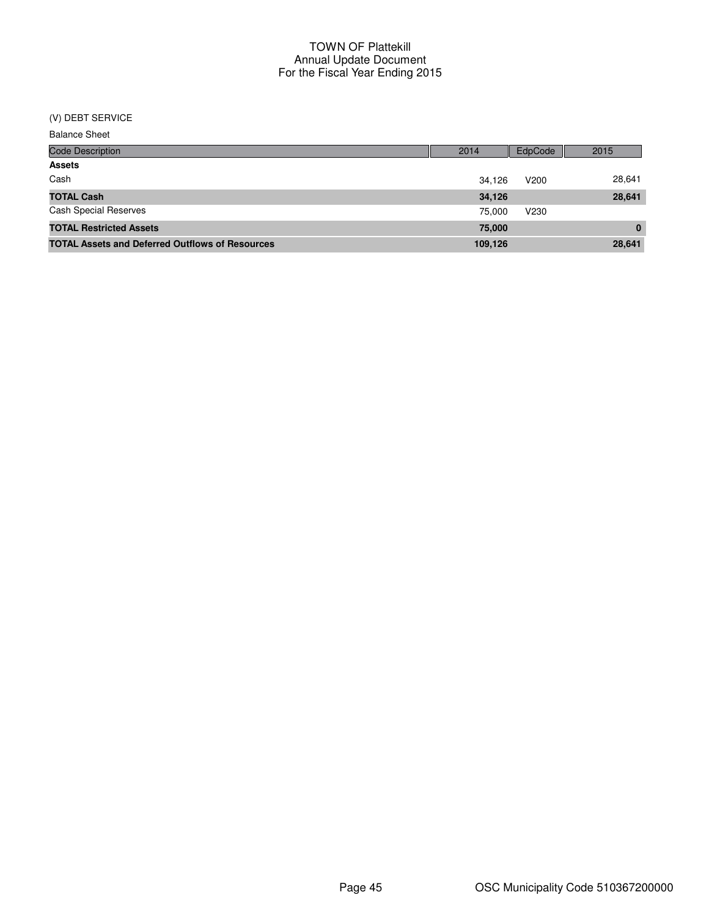# (V) DEBT SERVICE

| <b>Balance Sheet</b> |  |
|----------------------|--|
|----------------------|--|

| <b>Code Description</b>                                | 2014    | EdpCode          | 2015     |
|--------------------------------------------------------|---------|------------------|----------|
| <b>Assets</b>                                          |         |                  |          |
| Cash                                                   | 34.126  | V <sub>200</sub> | 28,641   |
| <b>TOTAL Cash</b>                                      | 34,126  |                  | 28,641   |
| <b>Cash Special Reserves</b>                           | 75.000  | V <sub>230</sub> |          |
| <b>TOTAL Restricted Assets</b>                         | 75,000  |                  | $\bf{0}$ |
| <b>TOTAL Assets and Deferred Outflows of Resources</b> | 109,126 |                  | 28,641   |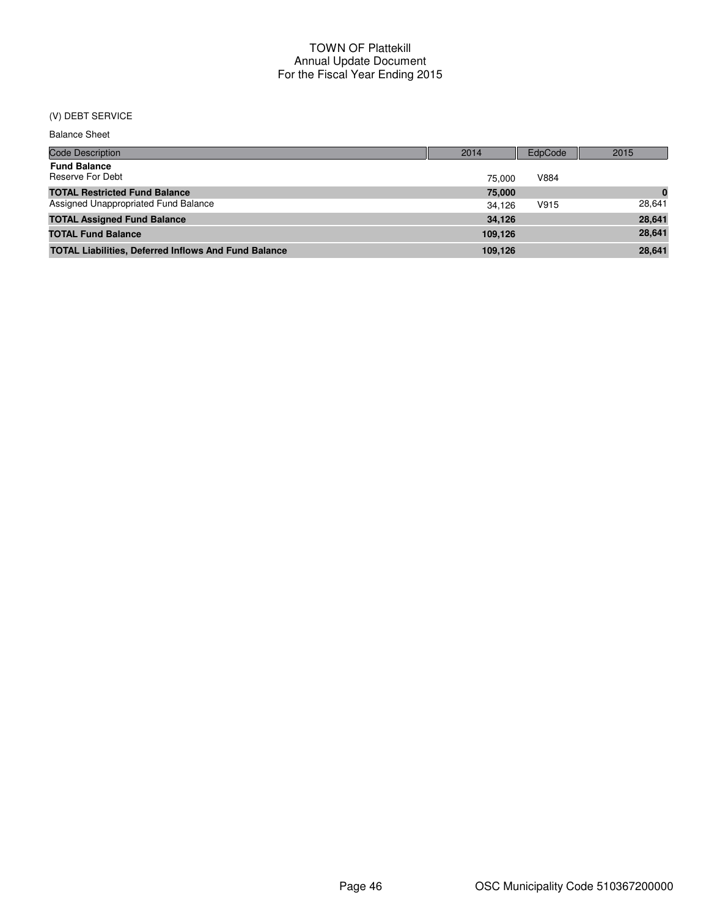# (V) DEBT SERVICE

| <b>Balance Sheet</b> |  |
|----------------------|--|
|----------------------|--|

| <b>Code Description</b>                                     | 2014    | EdpCode | 2015     |
|-------------------------------------------------------------|---------|---------|----------|
| <b>Fund Balance</b><br>Reserve For Debt                     | 75.000  | V884    |          |
| <b>TOTAL Restricted Fund Balance</b>                        | 75,000  |         | $\bf{0}$ |
| Assigned Unappropriated Fund Balance                        | 34.126  | V915    | 28.641   |
| <b>TOTAL Assigned Fund Balance</b>                          | 34.126  |         | 28,641   |
| <b>TOTAL Fund Balance</b>                                   | 109.126 |         | 28.641   |
| <b>TOTAL Liabilities, Deferred Inflows And Fund Balance</b> | 109.126 |         | 28.641   |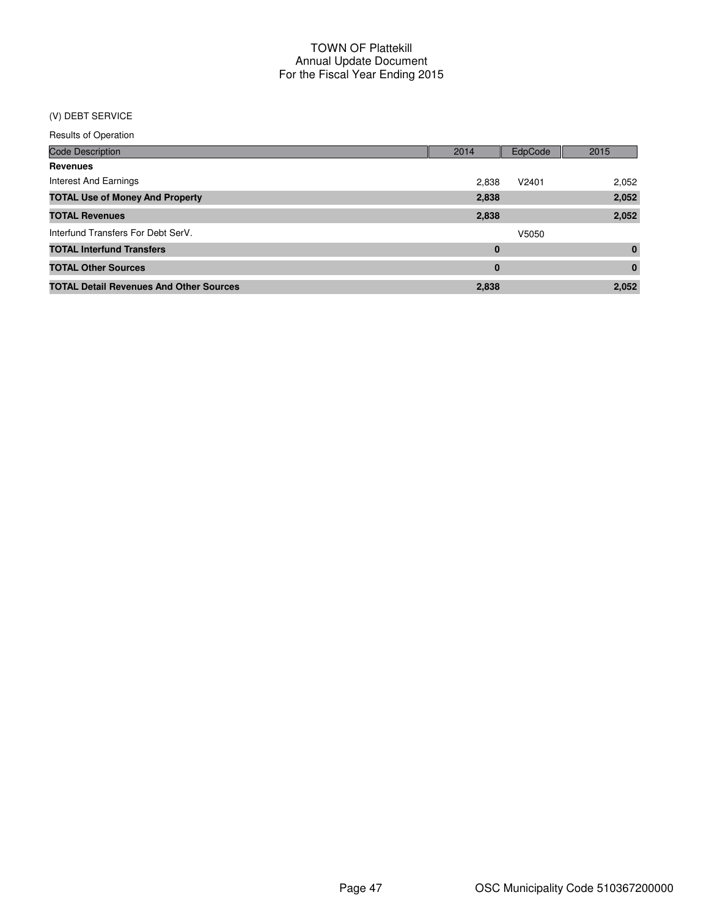## (V) DEBT SERVICE

| <b>Code Description</b>                        | 2014     | EdpCode | 2015         |
|------------------------------------------------|----------|---------|--------------|
| <b>Revenues</b>                                |          |         |              |
| Interest And Earnings                          | 2,838    | V2401   | 2,052        |
| <b>TOTAL Use of Money And Property</b>         | 2,838    |         | 2,052        |
| <b>TOTAL Revenues</b>                          | 2,838    |         | 2,052        |
| Interfund Transfers For Debt SerV.             |          | V5050   |              |
| <b>TOTAL Interfund Transfers</b>               | 0        |         | $\mathbf{0}$ |
| <b>TOTAL Other Sources</b>                     | $\bf{0}$ |         | $\mathbf{0}$ |
| <b>TOTAL Detail Revenues And Other Sources</b> | 2,838    |         | 2,052        |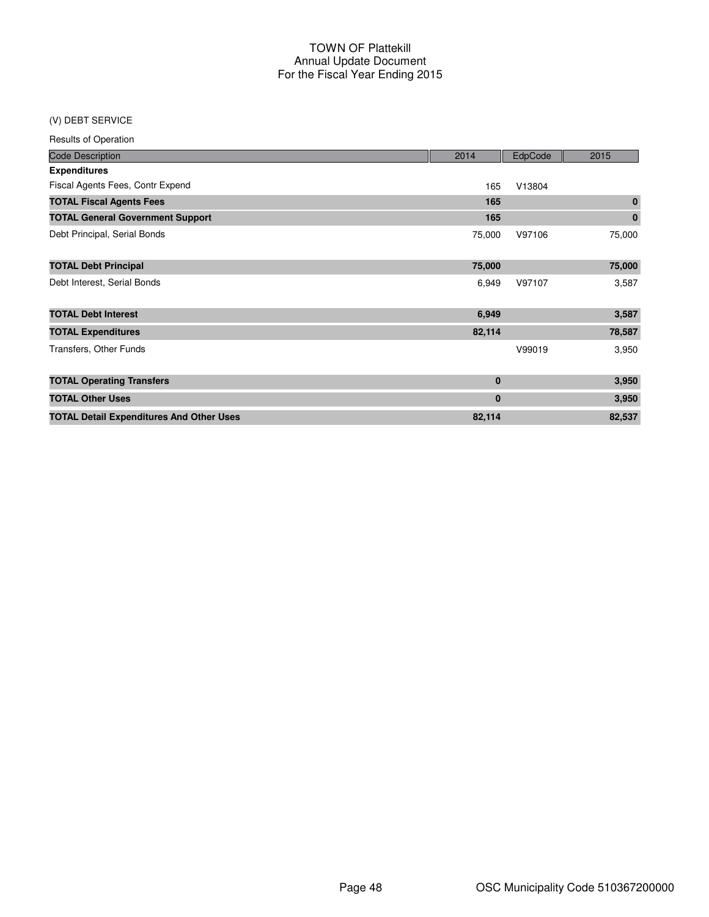#### (V) DEBT SERVICE

| <b>Results of Operation</b>                     |             |         |             |
|-------------------------------------------------|-------------|---------|-------------|
| <b>Code Description</b>                         | 2014        | EdpCode | 2015        |
| <b>Expenditures</b>                             |             |         |             |
| Fiscal Agents Fees, Contr Expend                | 165         | V13804  |             |
| <b>TOTAL Fiscal Agents Fees</b>                 | 165         |         | $\mathbf 0$ |
| <b>TOTAL General Government Support</b>         | 165         |         | $\mathbf 0$ |
| Debt Principal, Serial Bonds                    | 75,000      | V97106  | 75,000      |
| <b>TOTAL Debt Principal</b>                     | 75,000      |         | 75,000      |
| Debt Interest, Serial Bonds                     | 6,949       | V97107  | 3,587       |
| <b>TOTAL Debt Interest</b>                      | 6,949       |         | 3,587       |
| <b>TOTAL Expenditures</b>                       | 82,114      |         | 78,587      |
| Transfers, Other Funds                          |             | V99019  | 3,950       |
| <b>TOTAL Operating Transfers</b>                | $\bf{0}$    |         | 3,950       |
| <b>TOTAL Other Uses</b>                         | $\mathbf 0$ |         | 3,950       |
| <b>TOTAL Detail Expenditures And Other Uses</b> | 82,114      |         | 82,537      |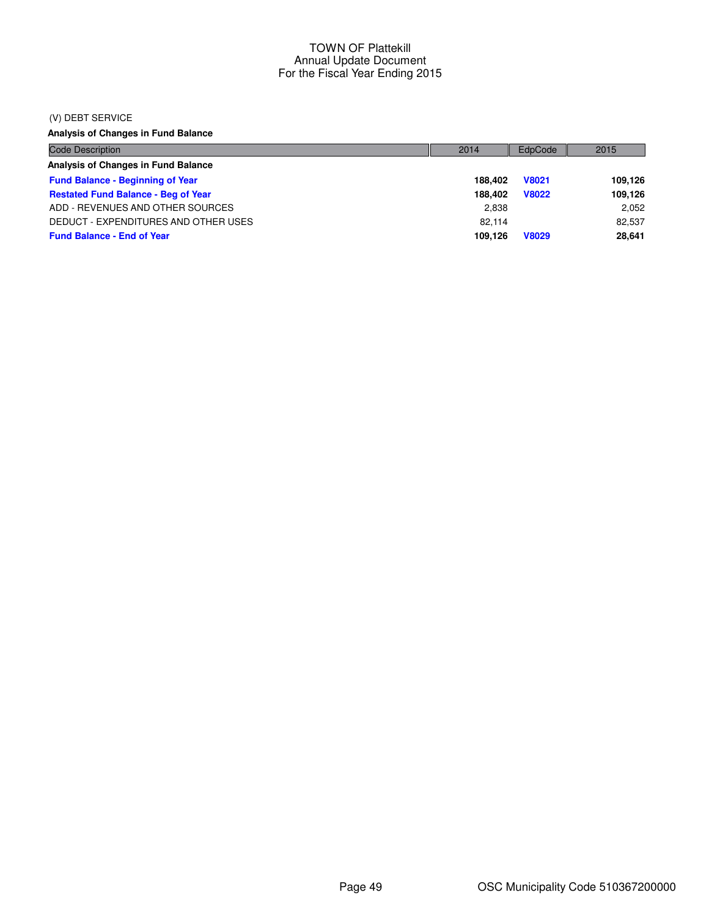#### (V) DEBT SERVICE

**Analysis of Changes in Fund Balance**

| <b>Code Description</b>                    | 2014    | EdpCode      | 2015    |
|--------------------------------------------|---------|--------------|---------|
| Analysis of Changes in Fund Balance        |         |              |         |
| <b>Fund Balance - Beginning of Year</b>    | 188.402 | <b>V8021</b> | 109,126 |
| <b>Restated Fund Balance - Beg of Year</b> | 188.402 | <b>V8022</b> | 109,126 |
| ADD - REVENUES AND OTHER SOURCES           | 2,838   |              | 2,052   |
| DEDUCT - EXPENDITURES AND OTHER USES       | 82.114  |              | 82.537  |
| <b>Fund Balance - End of Year</b>          | 109.126 | <b>V8029</b> | 28.641  |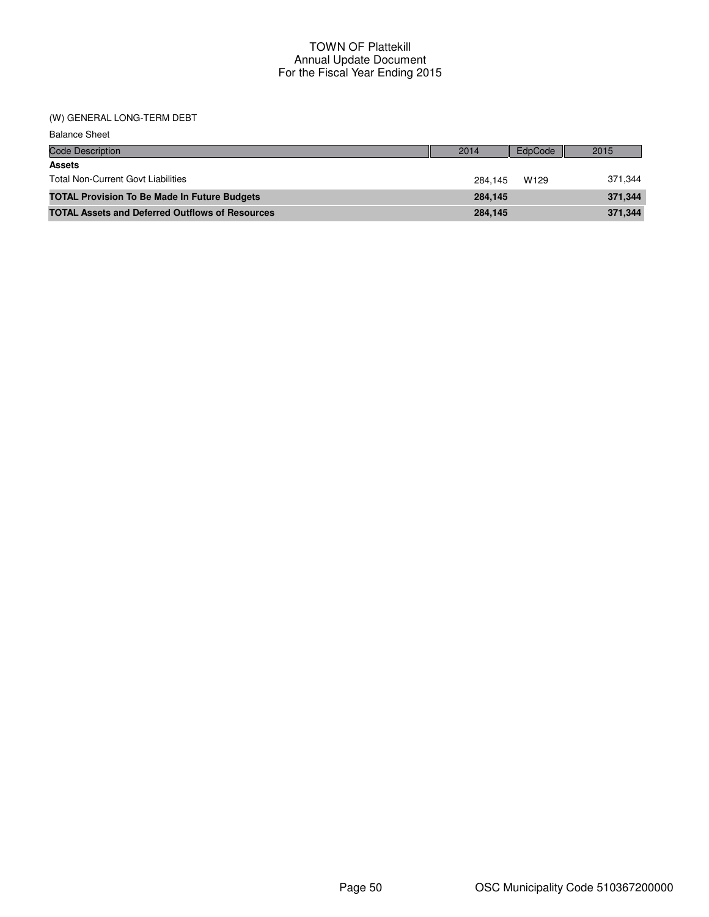#### (W) GENERAL LONG-TERM DEBT

| <b>Balance Sheet</b>                                   |         |         |         |
|--------------------------------------------------------|---------|---------|---------|
| <b>Code Description</b>                                | 2014    | EdpCode | 2015    |
| <b>Assets</b>                                          |         |         |         |
| <b>Total Non-Current Govt Liabilities</b>              | 284.145 | W129    | 371.344 |
| <b>TOTAL Provision To Be Made In Future Budgets</b>    | 284.145 |         | 371.344 |
| <b>TOTAL Assets and Deferred Outflows of Resources</b> | 284.145 |         | 371,344 |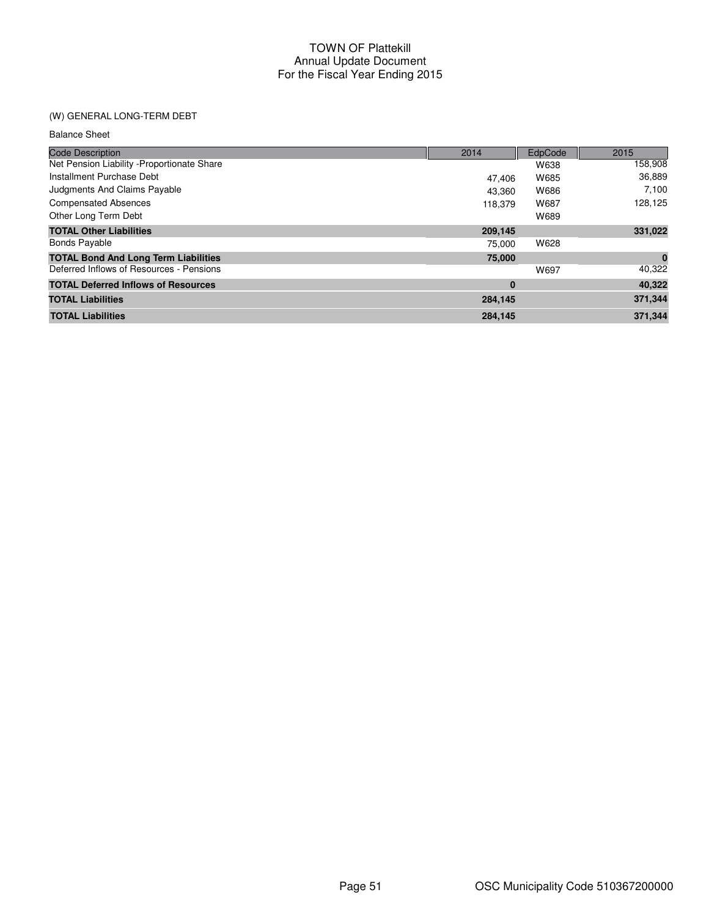# (W) GENERAL LONG-TERM DEBT

| <b>Balance Sheet</b>                        |         |         |          |
|---------------------------------------------|---------|---------|----------|
| <b>Code Description</b>                     | 2014    | EdpCode | 2015     |
| Net Pension Liability - Proportionate Share |         | W638    | 158,908  |
| Installment Purchase Debt                   | 47.406  | W685    | 36,889   |
| Judgments And Claims Payable                | 43.360  | W686    | 7,100    |
| <b>Compensated Absences</b>                 | 118,379 | W687    | 128,125  |
| Other Long Term Debt                        |         | W689    |          |
| <b>TOTAL Other Liabilities</b>              | 209,145 |         | 331,022  |
| <b>Bonds Payable</b>                        | 75.000  | W628    |          |
| <b>TOTAL Bond And Long Term Liabilities</b> | 75,000  |         | $\bf{0}$ |
| Deferred Inflows of Resources - Pensions    |         | W697    | 40,322   |
| <b>TOTAL Deferred Inflows of Resources</b>  | 0       |         | 40,322   |
| <b>TOTAL Liabilities</b>                    | 284,145 |         | 371,344  |
| <b>TOTAL Liabilities</b>                    | 284.145 |         | 371.344  |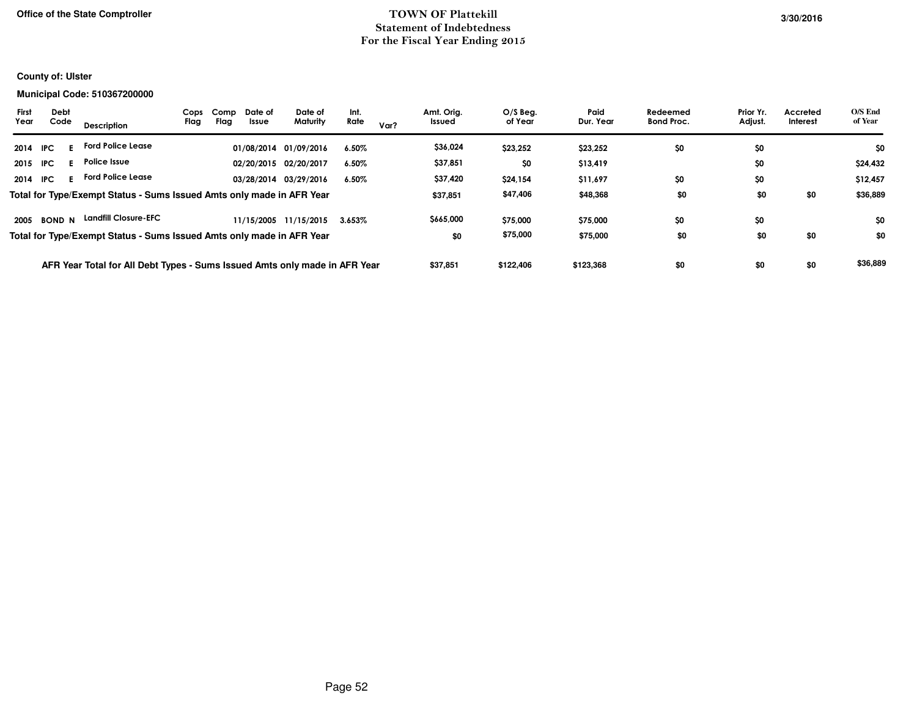## **TOWN OF PlattekillStatement of IndebtednessFor the Fiscal Year Ending 2015**

## **County of: Ulster**

#### **Municipal Code: 510367200000**

| <b>First</b><br>Debt<br>Code<br>Year | Description                                                                | Comp<br>Cops<br>Flag<br>Flag | Date of<br>Issue | Date of<br>Maturity   | Int.<br>Rate | Var? | Amt. Orig.<br>Issued | $O/S$ Beg.<br>of Year | Paid<br>Dur. Year | Redeemed<br><b>Bond Proc.</b> | Prior Yr.<br>Adjust. | Accreted<br>Interest | O/S End<br>of Year |
|--------------------------------------|----------------------------------------------------------------------------|------------------------------|------------------|-----------------------|--------------|------|----------------------|-----------------------|-------------------|-------------------------------|----------------------|----------------------|--------------------|
| 2014<br>- IPC                        | <b>Ford Police Lease</b>                                                   |                              |                  | 01/08/2014 01/09/2016 | $6.50\%$     |      | \$36,024             | \$23,252              | \$23,252          | \$0                           | \$0                  |                      | \$0                |
| 2015<br>IPC.                         | Police Issue                                                               |                              |                  | 02/20/2015 02/20/2017 | 6.50%        |      | \$37,851             | \$0                   | \$13,419          |                               | \$0                  |                      | \$24,432           |
| 2014<br><b>IPC</b>                   | <b>Ford Police Lease</b>                                                   |                              |                  | 03/28/2014 03/29/2016 | $6.50\%$     |      | \$37,420             | \$24,154              | \$11,697          | \$0                           | \$0                  |                      | \$12,457           |
|                                      | Total for Type/Exempt Status - Sums Issued Amts only made in AFR Year      |                              |                  |                       |              |      | \$37,851             | \$47,406              | \$48,368          | \$0                           | \$0                  | \$0                  | \$36,889           |
| <b>BOND N</b><br>2005                | <b>Landfill Closure-EFC</b>                                                |                              |                  | 11/15/2005 11/15/2015 | $3.653\%$    |      | \$665,000            | \$75,000              | \$75,000          | \$0                           | \$0                  |                      | \$0                |
|                                      | Total for Type/Exempt Status - Sums Issued Amts only made in AFR Year      |                              |                  |                       |              |      | \$0                  | \$75,000              | \$75,000          | \$0                           | \$0                  | \$0                  | \$0                |
|                                      | AFR Year Total for All Debt Types - Sums Issued Amts only made in AFR Year |                              |                  |                       |              |      | \$37,851             | \$122,406             | \$123,368         | \$0                           | \$0                  | \$0                  | \$36,889           |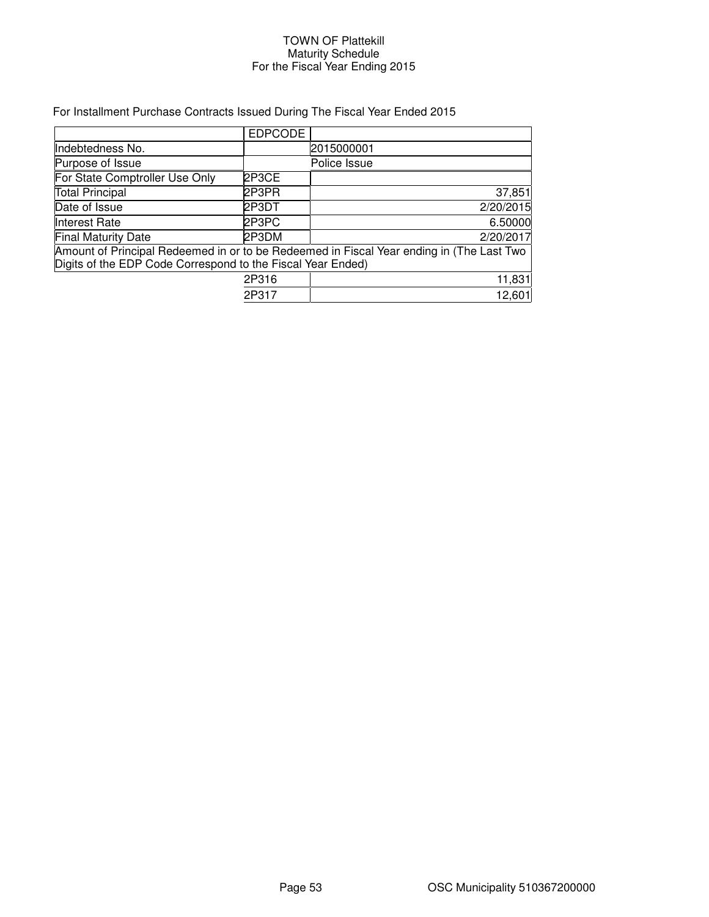#### TOWN OF Plattekill Maturity Schedule For the Fiscal Year Ending 2015

# For Installment Purchase Contracts Issued During The Fiscal Year Ended 2015

|                                                                                                                                                         | <b>EDPCODE</b> |              |  |  |  |  |
|---------------------------------------------------------------------------------------------------------------------------------------------------------|----------------|--------------|--|--|--|--|
| Indebtedness No.                                                                                                                                        |                | 2015000001   |  |  |  |  |
| Purpose of Issue                                                                                                                                        |                | Police Issue |  |  |  |  |
| For State Comptroller Use Only                                                                                                                          | 2P3CE          |              |  |  |  |  |
| <b>Total Principal</b>                                                                                                                                  | 2P3PR          | 37,851       |  |  |  |  |
| Date of Issue                                                                                                                                           | 2P3DT          | 2/20/2015    |  |  |  |  |
| Interest Rate                                                                                                                                           | 2P3PC          | 6.50000      |  |  |  |  |
| <b>Final Maturity Date</b>                                                                                                                              | 2P3DM          | 2/20/2017    |  |  |  |  |
| Amount of Principal Redeemed in or to be Redeemed in Fiscal Year ending in (The Last Two<br>Digits of the EDP Code Correspond to the Fiscal Year Ended) |                |              |  |  |  |  |
|                                                                                                                                                         | 2P316          | 11,831       |  |  |  |  |
|                                                                                                                                                         | 2P317          | 12,601       |  |  |  |  |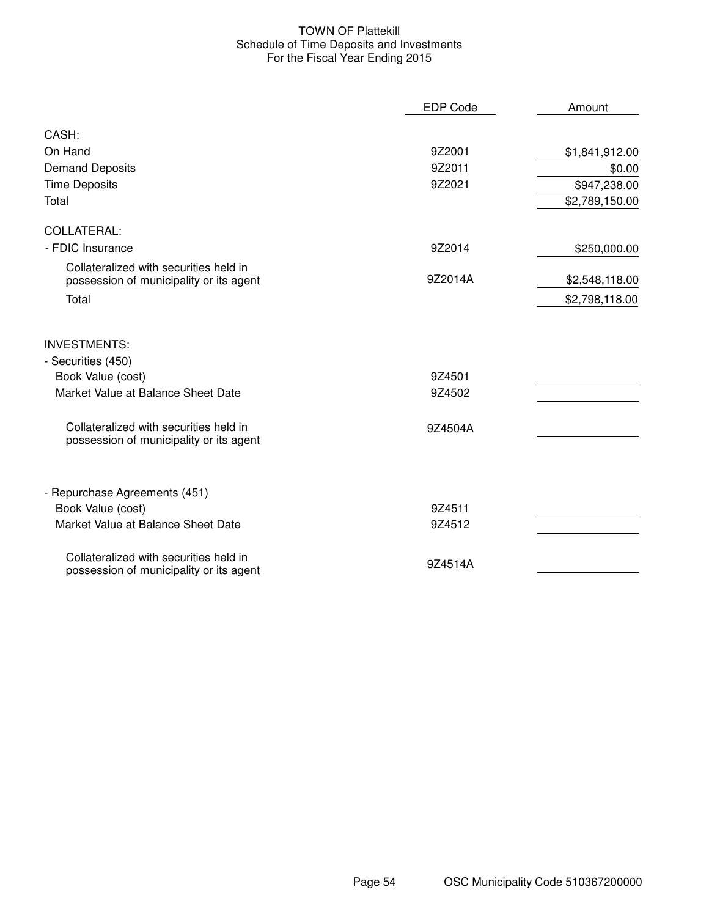#### TOWN OF Plattekill Schedule of Time Deposits and Investments For the Fiscal Year Ending 2015

|                                                                                   | <b>EDP Code</b> | Amount         |
|-----------------------------------------------------------------------------------|-----------------|----------------|
| CASH:                                                                             |                 |                |
| On Hand                                                                           | 9Z2001          | \$1,841,912.00 |
| <b>Demand Deposits</b>                                                            | 9Z2011          | \$0.00         |
| <b>Time Deposits</b>                                                              | 9Z2021          | \$947,238.00   |
| Total                                                                             |                 | \$2,789,150.00 |
| COLLATERAL:                                                                       |                 |                |
| - FDIC Insurance                                                                  | 9Z2014          | \$250,000.00   |
| Collateralized with securities held in<br>possession of municipality or its agent | 9Z2014A         | \$2,548,118.00 |
| Total                                                                             |                 | \$2,798,118.00 |
| <b>INVESTMENTS:</b>                                                               |                 |                |
| - Securities (450)                                                                |                 |                |
| Book Value (cost)                                                                 | 9Z4501          |                |
| Market Value at Balance Sheet Date                                                | 9Z4502          |                |
| Collateralized with securities held in<br>possession of municipality or its agent | 9Z4504A         |                |
| - Repurchase Agreements (451)                                                     |                 |                |
| Book Value (cost)                                                                 | 9Z4511          |                |
| Market Value at Balance Sheet Date                                                | 9Z4512          |                |
| Collateralized with securities held in<br>possession of municipality or its agent | 9Z4514A         |                |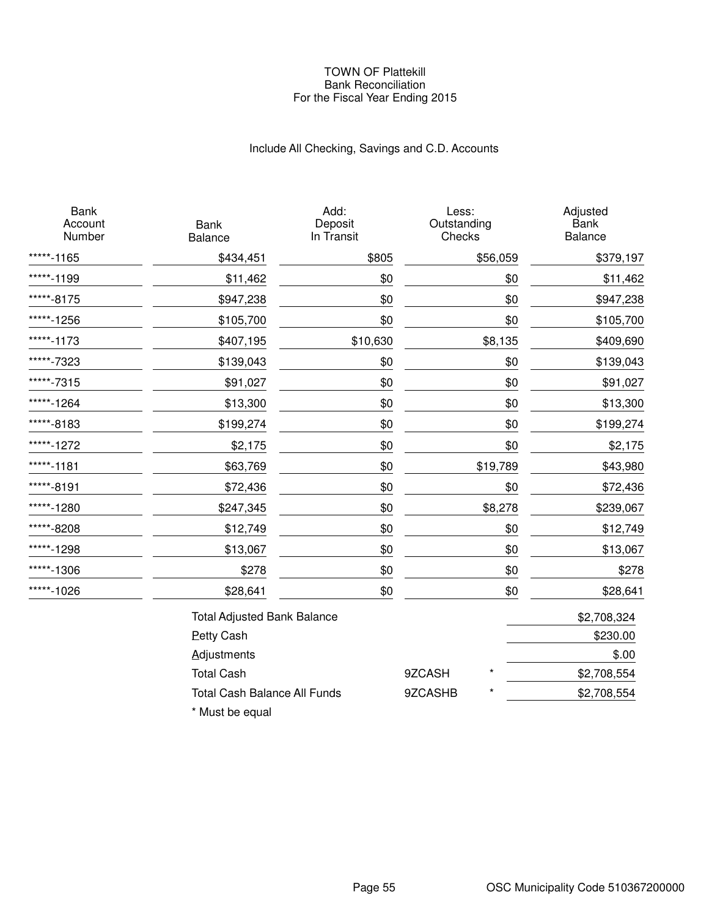#### TOWN OF Plattekill Bank Reconciliation For the Fiscal Year Ending 2015

# Include All Checking, Savings and C.D. Accounts

| <b>Bank</b><br>Account<br>Number | <b>Bank</b><br><b>Balance</b>       | Add:<br>Deposit<br>In Transit | Less:<br>Outstanding<br>Checks |          | Adjusted<br><b>Bank</b><br>Balance |
|----------------------------------|-------------------------------------|-------------------------------|--------------------------------|----------|------------------------------------|
| *****-1165                       | \$434,451                           | \$805                         |                                | \$56,059 | \$379,197                          |
| ****-1199                        | \$11,462                            | \$0                           |                                | \$0      | \$11,462                           |
| *****-8175                       | \$947,238                           | \$0                           |                                | \$0      | \$947,238                          |
| *****-1256                       | \$105,700                           | \$0                           |                                | \$0      | \$105,700                          |
| *****-1173                       | \$407,195                           | \$10,630                      |                                | \$8,135  | \$409,690                          |
| *****-7323                       | \$139,043                           | \$0                           |                                | \$0      | \$139,043                          |
| *****-7315                       | \$91,027                            | \$0                           |                                | \$0      | \$91,027                           |
| *****-1264                       | \$13,300                            | \$0                           |                                | \$0      | \$13,300                           |
| *****-8183                       | \$199,274                           | \$0                           |                                | \$0      | \$199,274                          |
| *****-1272                       | \$2,175                             | \$0                           |                                | \$0      | \$2,175                            |
| *****-1181                       | \$63,769                            | \$0                           |                                | \$19,789 | \$43,980                           |
| *****-8191                       | \$72,436                            | \$0                           |                                | \$0      | \$72,436                           |
| *****-1280                       | \$247,345                           | \$0                           |                                | \$8,278  | \$239,067                          |
| *****-8208                       | \$12,749                            | \$0                           |                                | \$0      | \$12,749                           |
| *****-1298                       | \$13,067                            | \$0                           |                                | \$0      | \$13,067                           |
| *****-1306                       | \$278                               | \$0                           |                                | \$0      | \$278                              |
| *****-1026                       | \$28,641                            | \$0                           |                                | \$0      | \$28,641                           |
|                                  | <b>Total Adjusted Bank Balance</b>  |                               |                                |          | \$2,708,324                        |
|                                  | <b>Petty Cash</b>                   |                               |                                |          | \$230.00                           |
|                                  | <b>Adjustments</b>                  |                               |                                |          | \$.00                              |
|                                  | <b>Total Cash</b>                   |                               | 9ZCASH                         |          | \$2,708,554                        |
|                                  | <b>Total Cash Balance All Funds</b> |                               | 9ZCASHB                        |          | \$2,708,554                        |
|                                  |                                     |                               |                                |          |                                    |

\* Must be equal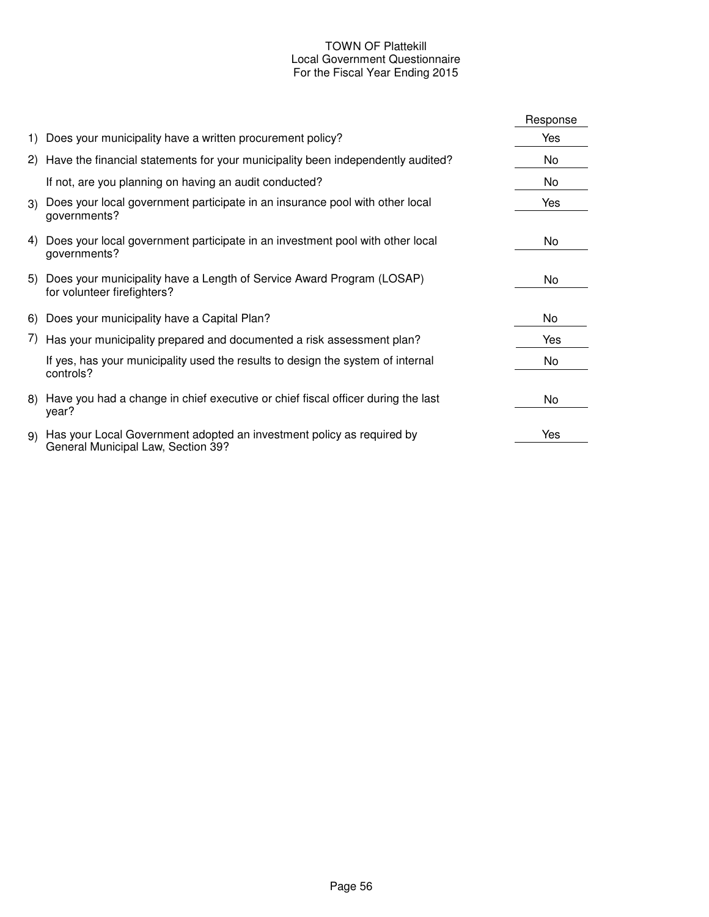# TOWN OF Plattekill Local Government Questionnaire For the Fiscal Year Ending 2015

|    |                                                                                                             | Response |
|----|-------------------------------------------------------------------------------------------------------------|----------|
|    | 1) Does your municipality have a written procurement policy?                                                | Yes      |
|    | 2) Have the financial statements for your municipality been independently audited?                          | No       |
|    | If not, are you planning on having an audit conducted?                                                      | No       |
| 3) | Does your local government participate in an insurance pool with other local<br>governments?                | Yes      |
| 4) | Does your local government participate in an investment pool with other local<br>governments?               | No       |
|    | 5) Does your municipality have a Length of Service Award Program (LOSAP)<br>for volunteer firefighters?     | No       |
|    | 6) Does your municipality have a Capital Plan?                                                              | No       |
|    | 7) Has your municipality prepared and documented a risk assessment plan?                                    | Yes      |
|    | If yes, has your municipality used the results to design the system of internal<br>controls?                | No       |
|    | 8) Have you had a change in chief executive or chief fiscal officer during the last<br>year?                | No       |
| 9) | Has your Local Government adopted an investment policy as required by<br>General Municipal Law, Section 39? | Yes      |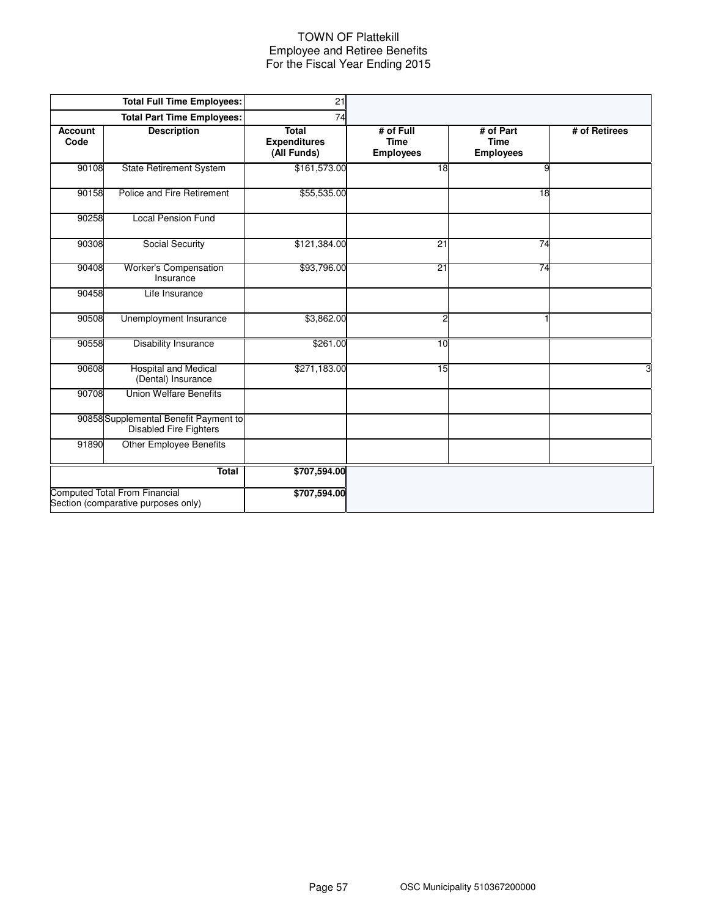#### TOWN OF Plattekill Employee and Retiree Benefits For the Fiscal Year Ending 2015

|                        | <b>Total Full Time Employees:</b>                                           | 21                                                 |                                              |                                              |               |
|------------------------|-----------------------------------------------------------------------------|----------------------------------------------------|----------------------------------------------|----------------------------------------------|---------------|
|                        | <b>Total Part Time Employees:</b>                                           | 74                                                 |                                              |                                              |               |
| <b>Account</b><br>Code | <b>Description</b>                                                          | <b>Total</b><br><b>Expenditures</b><br>(All Funds) | # of Full<br><b>Time</b><br><b>Employees</b> | # of Part<br><b>Time</b><br><b>Employees</b> | # of Retirees |
| 90108                  | <b>State Retirement System</b>                                              | \$161,573.00                                       | 18                                           | 9                                            |               |
| 90158                  | Police and Fire Retirement                                                  | \$55,535.00                                        |                                              | 18                                           |               |
| 90258                  | <b>Local Pension Fund</b>                                                   |                                                    |                                              |                                              |               |
| 90308                  | Social Security                                                             | \$121,384.00                                       | 21                                           | 74                                           |               |
| 90408                  | Worker's Compensation<br>Insurance                                          | \$93,796.00                                        | 21                                           | 74                                           |               |
| 90458                  | Life Insurance                                                              |                                                    |                                              |                                              |               |
| 90508                  | Unemployment Insurance                                                      | \$3,862.00                                         | 2                                            |                                              |               |
| 90558                  | <b>Disability Insurance</b>                                                 | \$261.00                                           | 10                                           |                                              |               |
| 90608                  | <b>Hospital and Medical</b><br>(Dental) Insurance                           | \$271,183.00                                       | 15                                           |                                              | 3             |
| 90708                  | <b>Union Welfare Benefits</b>                                               |                                                    |                                              |                                              |               |
|                        | 90858 Supplemental Benefit Payment to<br><b>Disabled Fire Fighters</b>      |                                                    |                                              |                                              |               |
| 91890                  | <b>Other Employee Benefits</b>                                              |                                                    |                                              |                                              |               |
|                        | <b>Total</b>                                                                | \$707,594.00                                       |                                              |                                              |               |
|                        | <b>Computed Total From Financial</b><br>Section (comparative purposes only) | \$707,594.00                                       |                                              |                                              |               |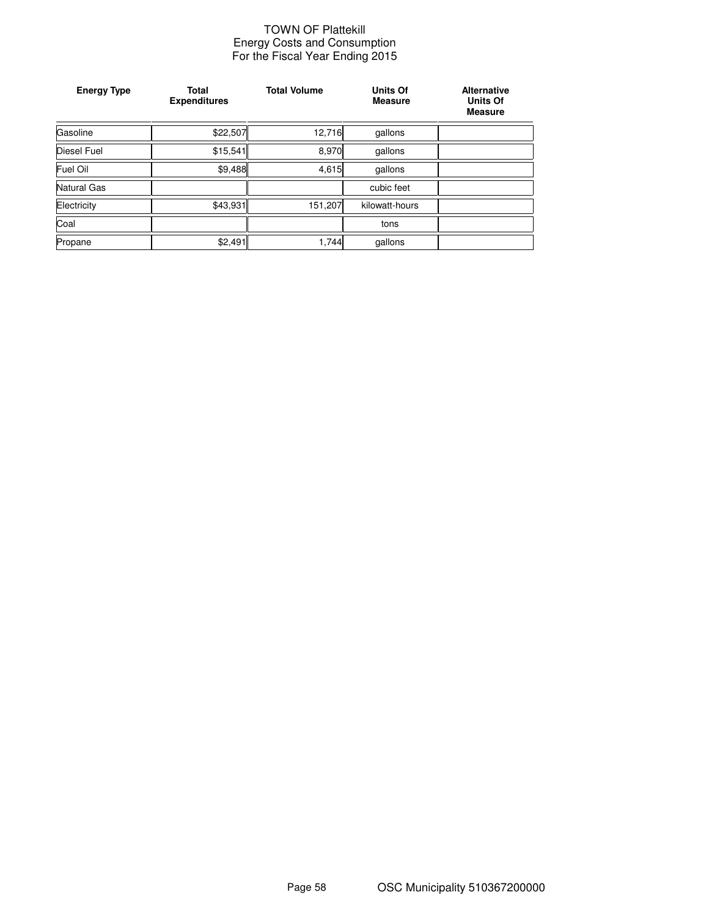#### TOWN OF Plattekill Energy Costs and Consumption For the Fiscal Year Ending 2015

| <b>Energy Type</b> | Total<br><b>Expenditures</b> | <b>Total Volume</b> | <b>Units Of</b><br><b>Measure</b> | <b>Alternative</b><br><b>Units Of</b><br><b>Measure</b> |
|--------------------|------------------------------|---------------------|-----------------------------------|---------------------------------------------------------|
| Gasoline           | \$22,507                     | 12,716              | gallons                           |                                                         |
| <b>Diesel Fuel</b> | \$15,541                     | 8,970               | gallons                           |                                                         |
| Fuel Oil           | \$9,488                      | 4,615               | gallons                           |                                                         |
| Natural Gas        |                              |                     | cubic feet                        |                                                         |
| Electricity        | \$43,931                     | 151,207             | kilowatt-hours                    |                                                         |
| Coal               |                              |                     | tons                              |                                                         |
| Propane            | \$2,491                      | 1,744               | gallons                           |                                                         |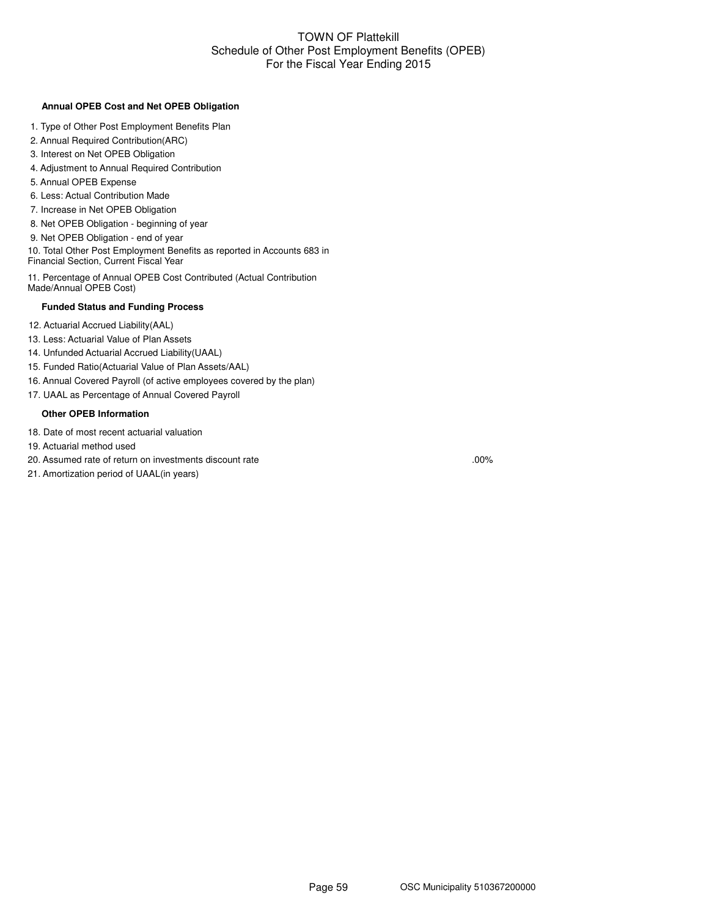#### TOWN OF Plattekill Schedule of Other Post Employment Benefits (OPEB) For the Fiscal Year Ending 2015

#### **Annual OPEB Cost and Net OPEB Obligation**

- 1. Type of Other Post Employment Benefits Plan
- 2. Annual Required Contribution(ARC)
- 3. Interest on Net OPEB Obligation
- 4. Adjustment to Annual Required Contribution
- 5. Annual OPEB Expense
- 6. Less: Actual Contribution Made
- 7. Increase in Net OPEB Obligation
- 8. Net OPEB Obligation beginning of year
- 9. Net OPEB Obligation end of year

10. Total Other Post Employment Benefits as reported in Accounts 683 in Financial Section, Current Fiscal Year

11. Percentage of Annual OPEB Cost Contributed (Actual Contribution Made/Annual OPEB Cost)

#### **Funded Status and Funding Process**

- 12. Actuarial Accrued Liability(AAL)
- 13. Less: Actuarial Value of Plan Assets
- 14. Unfunded Actuarial Accrued Liability(UAAL)
- 15. Funded Ratio(Actuarial Value of Plan Assets/AAL)
- 16. Annual Covered Payroll (of active employees covered by the plan)
- 17. UAAL as Percentage of Annual Covered Payroll

#### **Other OPEB Information**

- 18. Date of most recent actuarial valuation
- 19. Actuarial method used
- 20. Assumed rate of return on investments discount rate

21. Amortization period of UAAL(in years)

.00%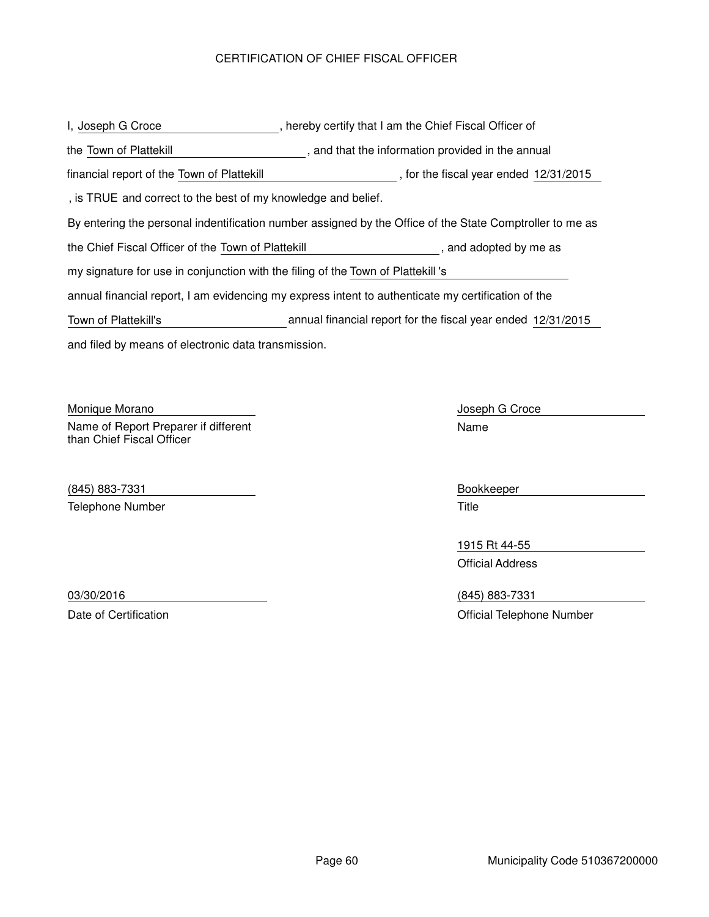# CERTIFICATION OF CHIEF FISCAL OFFICER

and filed by means of electronic data transmission. , hereby certify that I am the Chief Fiscal Officer of By entering the personal indentification number assigned by the Office of the State Comptroller to me as , and that the information provided in the annual I, Joseph G Croce the Town of Plattekill the Chief Fiscal Officer of the Town of Plattekill **the chief contact of the State** , and adopted by me as annual financial report, I am evidencing my express intent to authenticate my certification of the my signature for use in conjunction with the filing of the Town of Plattekill's , is TRUE and correct to the best of my knowledge and belief. financial report of the Town of Plattekill **Financial report of the Town of Plattekill** , for the fiscal year ended 12/31/2015 Town of Plattekill's annual financial report for the fiscal year ended 12/31/2015

Monique Morano **Monitation** Monique Morano **Joseph G Croce** Name of Report Preparer if different than Chief Fiscal Officer

(845) 883-7331 Bookkeeper Telephone Number Title

Name

1915 Rt 44-55 Official Address

03/30/2016 (845) 883-7331 Date of Certification **Date of Certification** Official Telephone Number

Page 60 Municipality Code 510367200000